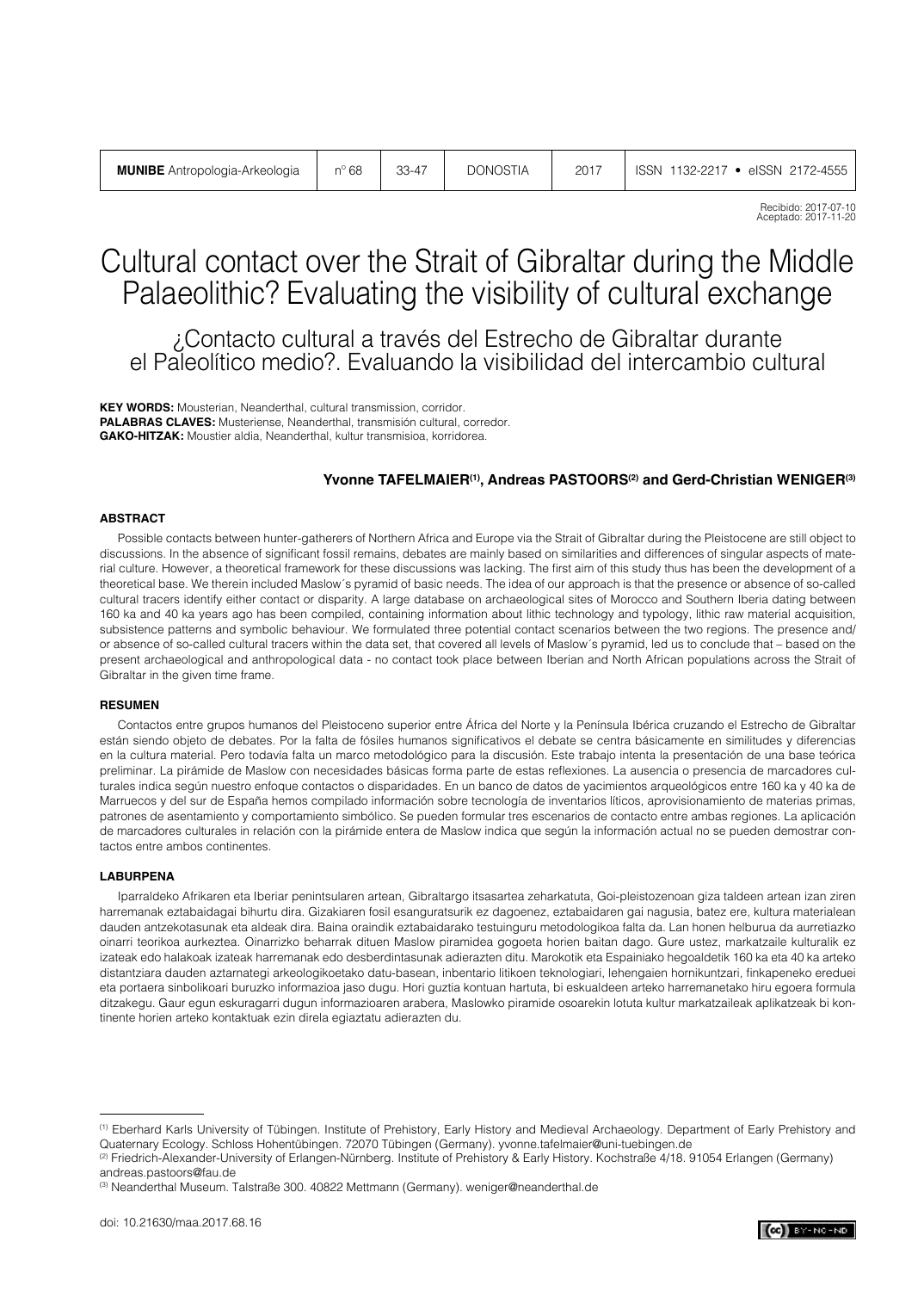Recibido: 2017-07-10 Aceptado: 2017-11-20

# Cultural contact over the Strait of Gibraltar during the Middle Palaeolithic? Evaluating the visibility of cultural exchange

¿Contacto cultural a través del Estrecho de Gibraltar durante el Paleolítico medio?. Evaluando la visibilidad del intercambio cultural

**KEY WORDS:** Mousterian, Neanderthal, cultural transmission, corridor. **PALABRAS CLAVES:** Musteriense, Neanderthal, transmisión cultural, corredor. **GAKO-HITZAK:** Moustier aldia, Neanderthal, kultur transmisioa, korridorea.

#### **Yvonne TAFELMAIER(1), Andreas PASTOORS(2) and Gerd-Christian WENIGER(3)**

#### **ABSTRACT**

Possible contacts between hunter-gatherers of Northern Africa and Europe via the Strait of Gibraltar during the Pleistocene are still object to discussions. In the absence of significant fossil remains, debates are mainly based on similarities and differences of singular aspects of material culture. However, a theoretical framework for these discussions was lacking. The first aim of this study thus has been the development of a theoretical base. We therein included Maslow´s pyramid of basic needs. The idea of our approach is that the presence or absence of so-called cultural tracers identify either contact or disparity. A large database on archaeological sites of Morocco and Southern Iberia dating between 160 ka and 40 ka years ago has been compiled, containing information about lithic technology and typology, lithic raw material acquisition, subsistence patterns and symbolic behaviour. We formulated three potential contact scenarios between the two regions. The presence and/ or absence of so-called cultural tracers within the data set, that covered all levels of Maslow´s pyramid, led us to conclude that – based on the present archaeological and anthropological data - no contact took place between Iberian and North African populations across the Strait of Gibraltar in the given time frame.

#### **RESUMEN**

Contactos entre grupos humanos del Pleistoceno superior entre África del Norte y la Península Ibérica cruzando el Estrecho de Gibraltar están siendo objeto de debates. Por la falta de fósiles humanos significativos el debate se centra básicamente en similitudes y diferencias en la cultura material. Pero todavía falta un marco metodológico para la discusión. Este trabajo intenta la presentación de una base teórica preliminar. La pirámide de Maslow con necesidades básicas forma parte de estas reflexiones. La ausencia o presencia de marcadores culturales indica según nuestro enfoque contactos o disparidades. En un banco de datos de yacimientos arqueológicos entre 160 ka y 40 ka de Marruecos y del sur de España hemos compilado información sobre tecnología de inventarios líticos, aprovisionamiento de materias primas, patrones de asentamiento y comportamiento simbólico. Se pueden formular tres escenarios de contacto entre ambas regiones. La aplicación de marcadores culturales in relación con la pirámide entera de Maslow indica que según la información actual no se pueden demostrar contactos entre ambos continentes.

#### **LABURPENA**

Iparraldeko Afrikaren eta Iberiar penintsularen artean, Gibraltargo itsasartea zeharkatuta, Goi-pleistozenoan giza taldeen artean izan ziren harremanak eztabaidagai bihurtu dira. Gizakiaren fosil esanguratsurik ez dagoenez, eztabaidaren gai nagusia, batez ere, kultura materialean dauden antzekotasunak eta aldeak dira. Baina oraindik eztabaidarako testuinguru metodologikoa falta da. Lan honen helburua da aurretiazko oinarri teorikoa aurkeztea. Oinarrizko beharrak dituen Maslow piramidea gogoeta horien baitan dago. Gure ustez, markatzaile kulturalik ez izateak edo halakoak izateak harremanak edo desberdintasunak adierazten ditu. Marokotik eta Espainiako hegoaldetik 160 ka eta 40 ka arteko distantziara dauden aztarnategi arkeologikoetako datu-basean, inbentario litikoen teknologiari, lehengaien hornikuntzari, finkapeneko ereduei eta portaera sinbolikoari buruzko informazioa jaso dugu. Hori guztia kontuan hartuta, bi eskualdeen arteko harremanetako hiru egoera formula ditzakegu. Gaur egun eskuragarri dugun informazioaren arabera, Maslowko piramide osoarekin lotuta kultur markatzaileak aplikatzeak bi kontinente horien arteko kontaktuak ezin direla egiaztatu adierazten du.

<sup>(1)</sup> Eberhard Karls University of Tübingen. Institute of Prehistory, Early History and Medieval Archaeology. Department of Early Prehistory and Quaternary Ecology. Schloss Hohentübingen. 72070 Tübingen (Germany). yvonne.tafelmaier@uni-tuebingen.de

<sup>(2)</sup> Friedrich-Alexander-University of Erlangen-Nürnberg. Institute of Prehistory & Early History. Kochstraße 4/18. 91054 Erlangen (Germany) andreas.pastoors@fau.de

<sup>(3)</sup> Neanderthal Museum. Talstraße 300. 40822 Mettmann (Germany). weniger@neanderthal.de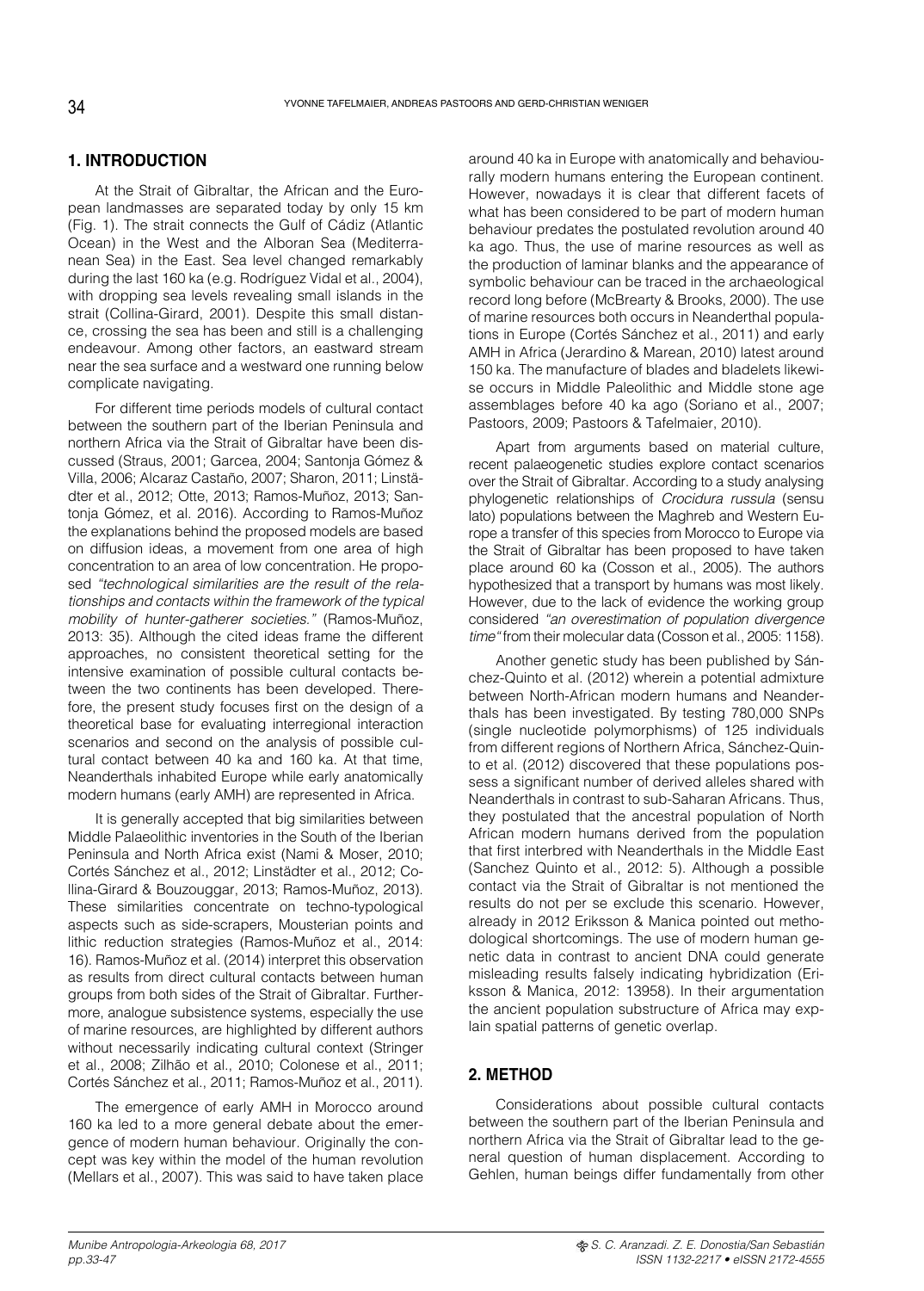## **1. INTRODUCTION**

At the Strait of Gibraltar, the African and the European landmasses are separated today by only 15 km (Fig. 1). The strait connects the Gulf of Cádiz (Atlantic Ocean) in the West and the Alboran Sea (Mediterranean Sea) in the East. Sea level changed remarkably during the last 160 ka (e.g. Rodríguez Vidal et al., 2004), with dropping sea levels revealing small islands in the strait (Collina-Girard, 2001). Despite this small distance, crossing the sea has been and still is a challenging endeavour. Among other factors, an eastward stream near the sea surface and a westward one running below complicate navigating.

For different time periods models of cultural contact between the southern part of the Iberian Peninsula and northern Africa via the Strait of Gibraltar have been discussed (Straus, 2001; Garcea, 2004; Santonja Gómez & Villa, 2006; Alcaraz Castaño, 2007; Sharon, 2011; Linstädter et al., 2012; Otte, 2013; Ramos-Muñoz, 2013; Santonja Gómez, et al. 2016). According to Ramos-Muñoz the explanations behind the proposed models are based on diffusion ideas, a movement from one area of high concentration to an area of low concentration. He proposed *"technological similarities are the result of the relationships and contacts within the framework of the typical mobility of hunter-gatherer societies."* (Ramos-Muñoz, 2013: 35). Although the cited ideas frame the different approaches, no consistent theoretical setting for the intensive examination of possible cultural contacts between the two continents has been developed. Therefore, the present study focuses first on the design of a theoretical base for evaluating interregional interaction scenarios and second on the analysis of possible cultural contact between 40 ka and 160 ka. At that time, Neanderthals inhabited Europe while early anatomically modern humans (early AMH) are represented in Africa.

It is generally accepted that big similarities between Middle Palaeolithic inventories in the South of the Iberian Peninsula and North Africa exist (Nami & Moser, 2010; Cortés Sánchez et al., 2012; Linstädter et al., 2012; Collina-Girard & Bouzouggar, 2013; Ramos-Muñoz, 2013). These similarities concentrate on techno-typological aspects such as side-scrapers, Mousterian points and lithic reduction strategies (Ramos-Muñoz et al., 2014: 16). Ramos-Muñoz et al. (2014) interpret this observation as results from direct cultural contacts between human groups from both sides of the Strait of Gibraltar. Furthermore, analogue subsistence systems, especially the use of marine resources, are highlighted by different authors without necessarily indicating cultural context (Stringer et al., 2008; Zilhão et al., 2010; Colonese et al., 2011; Cortés Sánchez et al., 2011; Ramos-Muñoz et al., 2011).

The emergence of early AMH in Morocco around 160 ka led to a more general debate about the emergence of modern human behaviour. Originally the concept was key within the model of the human revolution (Mellars et al., 2007). This was said to have taken place around 40 ka in Europe with anatomically and behaviourally modern humans entering the European continent. However, nowadays it is clear that different facets of what has been considered to be part of modern human behaviour predates the postulated revolution around 40 ka ago. Thus, the use of marine resources as well as the production of laminar blanks and the appearance of symbolic behaviour can be traced in the archaeological record long before (McBrearty & Brooks, 2000). The use of marine resources both occurs in Neanderthal populations in Europe (Cortés Sánchez et al., 2011) and early AMH in Africa (Jerardino & Marean, 2010) latest around 150 ka. The manufacture of blades and bladelets likewise occurs in Middle Paleolithic and Middle stone age assemblages before 40 ka ago (Soriano et al., 2007; Pastoors, 2009; Pastoors & Tafelmaier, 2010).

Apart from arguments based on material culture, recent palaeogenetic studies explore contact scenarios over the Strait of Gibraltar. According to a study analysing phylogenetic relationships of *Crocidura russula* (sensu lato) populations between the Maghreb and Western Europe a transfer of this species from Morocco to Europe via the Strait of Gibraltar has been proposed to have taken place around 60 ka (Cosson et al., 2005). The authors hypothesized that a transport by humans was most likely. However, due to the lack of evidence the working group considered *"an overestimation of population divergence time"* from their molecular data (Cosson et al., 2005: 1158).

Another genetic study has been published by Sánchez-Quinto et al. (2012) wherein a potential admixture between North-African modern humans and Neanderthals has been investigated. By testing 780,000 SNPs (single nucleotide polymorphisms) of 125 individuals from different regions of Northern Africa, Sánchez-Quinto et al. (2012) discovered that these populations possess a significant number of derived alleles shared with Neanderthals in contrast to sub-Saharan Africans. Thus, they postulated that the ancestral population of North African modern humans derived from the population that first interbred with Neanderthals in the Middle East (Sanchez Quinto et al., 2012: 5). Although a possible contact via the Strait of Gibraltar is not mentioned the results do not per se exclude this scenario. However, already in 2012 Eriksson & Manica pointed out methodological shortcomings. The use of modern human genetic data in contrast to ancient DNA could generate misleading results falsely indicating hybridization (Eriksson & Manica, 2012: 13958). In their argumentation the ancient population substructure of Africa may explain spatial patterns of genetic overlap.

# **2. METHOD**

Considerations about possible cultural contacts between the southern part of the Iberian Peninsula and northern Africa via the Strait of Gibraltar lead to the general question of human displacement. According to Gehlen, human beings differ fundamentally from other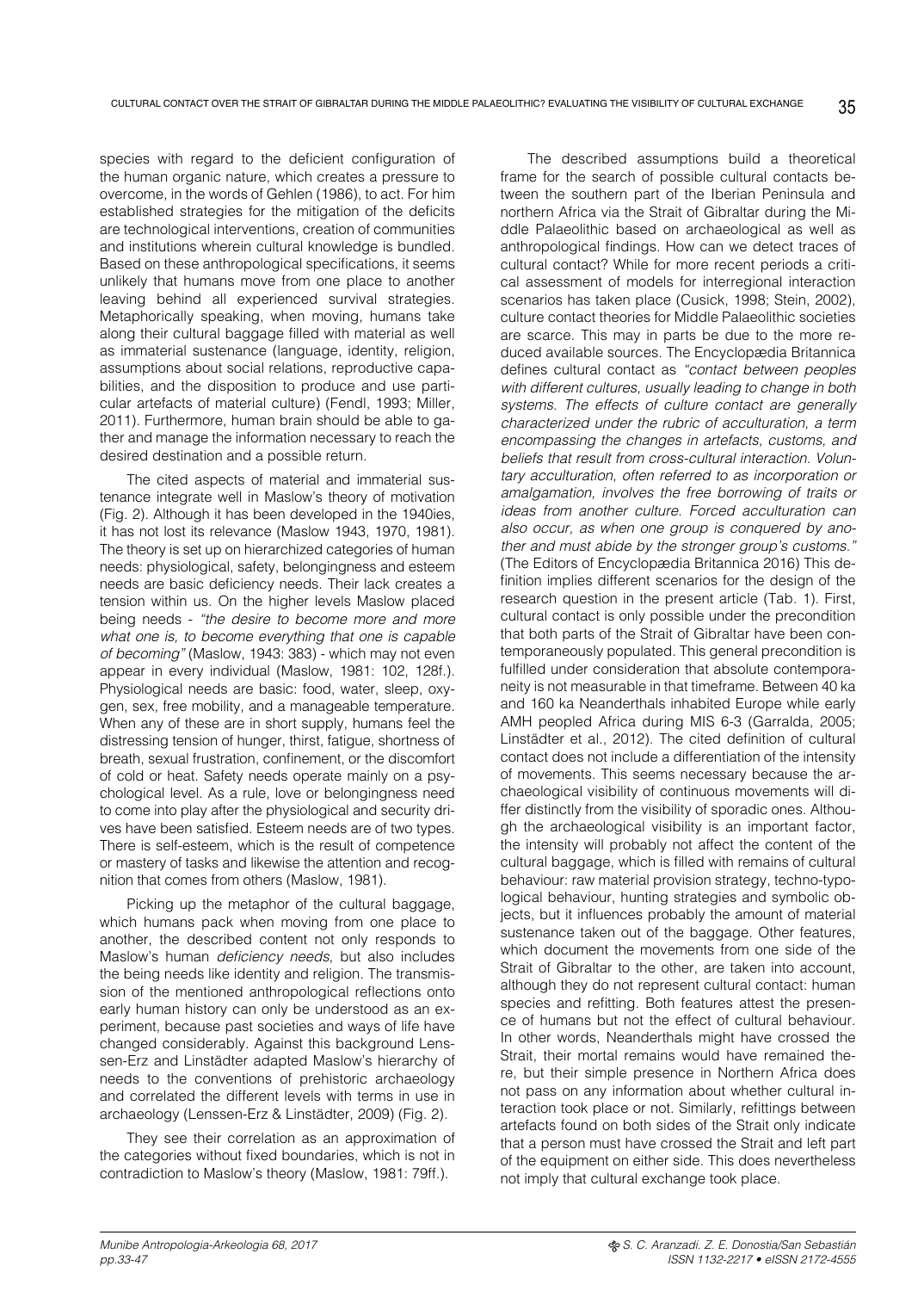species with regard to the deficient configuration of the human organic nature, which creates a pressure to overcome, in the words of Gehlen (1986), to act. For him established strategies for the mitigation of the deficits are technological interventions, creation of communities and institutions wherein cultural knowledge is bundled. Based on these anthropological specifications, it seems unlikely that humans move from one place to another leaving behind all experienced survival strategies. Metaphorically speaking, when moving, humans take along their cultural baggage filled with material as well as immaterial sustenance (language, identity, religion, assumptions about social relations, reproductive capabilities, and the disposition to produce and use particular artefacts of material culture) (Fendl, 1993; Miller, 2011). Furthermore, human brain should be able to gather and manage the information necessary to reach the desired destination and a possible return.

The cited aspects of material and immaterial sustenance integrate well in Maslow's theory of motivation (Fig. 2). Although it has been developed in the 1940ies, it has not lost its relevance (Maslow 1943, 1970, 1981). The theory is set up on hierarchized categories of human needs: physiological, safety, belongingness and esteem needs are basic deficiency needs. Their lack creates a tension within us. On the higher levels Maslow placed being needs - *"the desire to become more and more what one is, to become everything that one is capable of becoming"* (Maslow, 1943: 383) - which may not even appear in every individual (Maslow, 1981: 102, 128f.). Physiological needs are basic: food, water, sleep, oxygen, sex, free mobility, and a manageable temperature. When any of these are in short supply, humans feel the distressing tension of hunger, thirst, fatigue, shortness of breath, sexual frustration, confinement, or the discomfort of cold or heat. Safety needs operate mainly on a psychological level. As a rule, love or belongingness need to come into play after the physiological and security drives have been satisfied. Esteem needs are of two types. There is self-esteem, which is the result of competence or mastery of tasks and likewise the attention and recognition that comes from others (Maslow, 1981).

Picking up the metaphor of the cultural baggage, which humans pack when moving from one place to another, the described content not only responds to Maslow's human *deficiency needs*, but also includes the being needs like identity and religion. The transmission of the mentioned anthropological reflections onto early human history can only be understood as an experiment, because past societies and ways of life have changed considerably. Against this background Lenssen-Erz and Linstädter adapted Maslow's hierarchy of needs to the conventions of prehistoric archaeology and correlated the different levels with terms in use in archaeology (Lenssen-Erz & Linstädter, 2009) (Fig. 2).

They see their correlation as an approximation of the categories without fixed boundaries, which is not in contradiction to Maslow's theory (Maslow, 1981: 79ff.).

The described assumptions build a theoretical frame for the search of possible cultural contacts between the southern part of the Iberian Peninsula and northern Africa via the Strait of Gibraltar during the Middle Palaeolithic based on archaeological as well as anthropological findings. How can we detect traces of cultural contact? While for more recent periods a critical assessment of models for interregional interaction scenarios has taken place (Cusick, 1998; Stein, 2002), culture contact theories for Middle Palaeolithic societies are scarce. This may in parts be due to the more reduced available sources. The Encyclopædia Britannica defines cultural contact as *"contact between peoples with different cultures, usually leading to change in both systems. The effects of culture contact are generally characterized under the rubric of acculturation, a term encompassing the changes in artefacts, customs, and beliefs that result from cross-cultural interaction. Voluntary acculturation, often referred to as incorporation or amalgamation, involves the free borrowing of traits or ideas from another culture. Forced acculturation can also occur, as when one group is conquered by another and must abide by the stronger group's customs."*  (The Editors of Encyclopædia Britannica 2016) This definition implies different scenarios for the design of the research question in the present article (Tab. 1). First, cultural contact is only possible under the precondition that both parts of the Strait of Gibraltar have been contemporaneously populated. This general precondition is fulfilled under consideration that absolute contemporaneity is not measurable in that timeframe. Between 40 ka and 160 ka Neanderthals inhabited Europe while early AMH peopled Africa during MIS 6-3 (Garralda, 2005; Linstädter et al., 2012). The cited definition of cultural contact does not include a differentiation of the intensity of movements. This seems necessary because the archaeological visibility of continuous movements will differ distinctly from the visibility of sporadic ones. Although the archaeological visibility is an important factor, the intensity will probably not affect the content of the cultural baggage, which is filled with remains of cultural behaviour: raw material provision strategy, techno-typological behaviour, hunting strategies and symbolic objects, but it influences probably the amount of material sustenance taken out of the baggage. Other features, which document the movements from one side of the Strait of Gibraltar to the other, are taken into account, although they do not represent cultural contact: human species and refitting. Both features attest the presence of humans but not the effect of cultural behaviour. In other words, Neanderthals might have crossed the Strait, their mortal remains would have remained there, but their simple presence in Northern Africa does not pass on any information about whether cultural interaction took place or not. Similarly, refittings between artefacts found on both sides of the Strait only indicate that a person must have crossed the Strait and left part of the equipment on either side. This does nevertheless not imply that cultural exchange took place.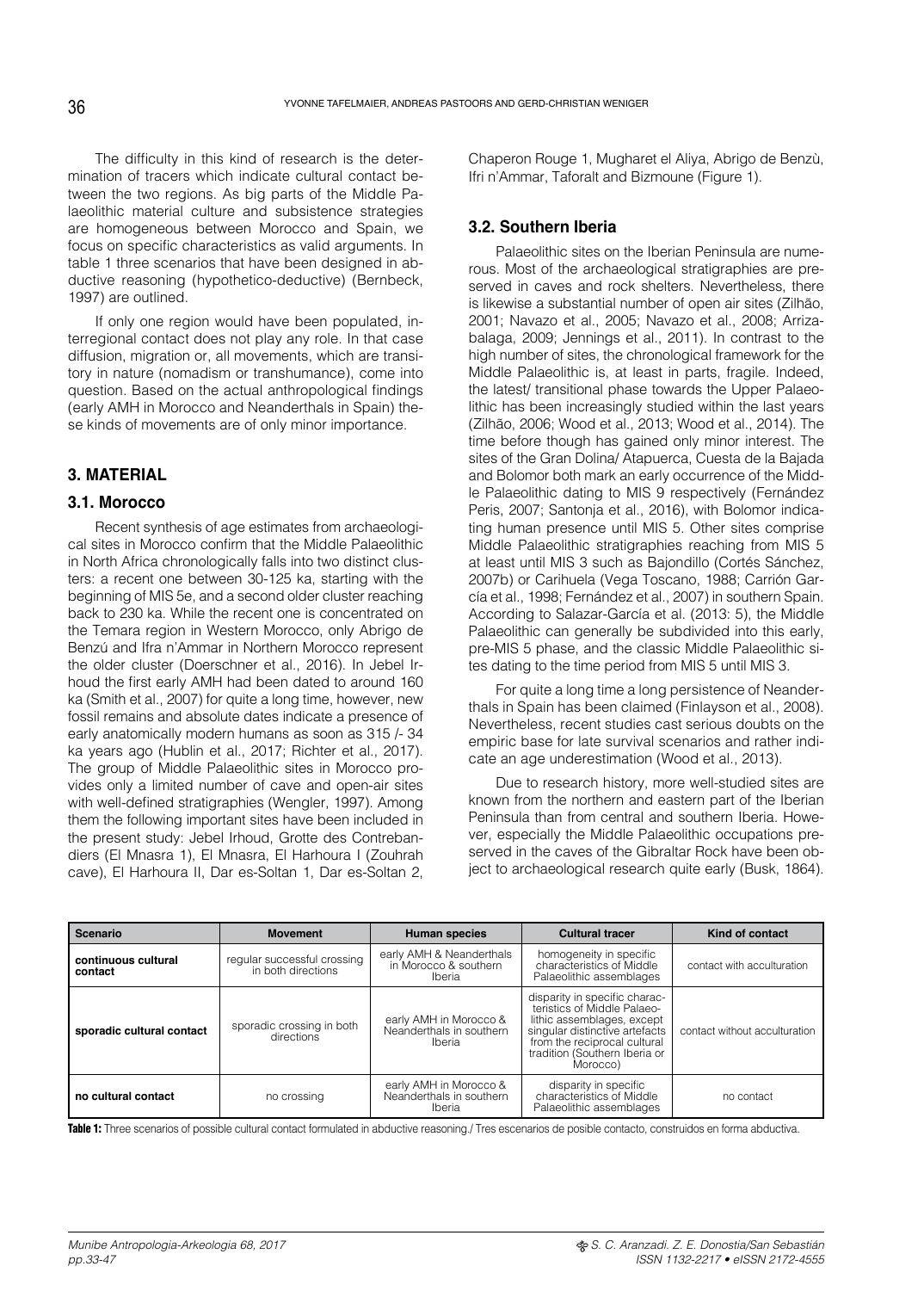The difficulty in this kind of research is the determination of tracers which indicate cultural contact between the two regions. As big parts of the Middle Palaeolithic material culture and subsistence strategies are homogeneous between Morocco and Spain, we focus on specific characteristics as valid arguments. In table 1 three scenarios that have been designed in abductive reasoning (hypothetico-deductive) (Bernbeck, 1997) are outlined.

If only one region would have been populated, interregional contact does not play any role. In that case diffusion, migration or, all movements, which are transitory in nature (nomadism or transhumance), come into question. Based on the actual anthropological findings (early AMH in Morocco and Neanderthals in Spain) these kinds of movements are of only minor importance.

# **3. MATERIAL**

## **3.1. Morocco**

Recent synthesis of age estimates from archaeological sites in Morocco confirm that the Middle Palaeolithic in North Africa chronologically falls into two distinct clusters: a recent one between 30-125 ka, starting with the beginning of MIS 5e, and a second older cluster reaching back to 230 ka. While the recent one is concentrated on the Temara region in Western Morocco, only Abrigo de Benzú and Ifra n'Ammar in Northern Morocco represent the older cluster (Doerschner et al., 2016). In Jebel Irhoud the first early AMH had been dated to around 160 ka (Smith et al., 2007) for quite a long time, however, new fossil remains and absolute dates indicate a presence of early anatomically modern humans as soon as 315 /- 34 ka years ago (Hublin et al., 2017; Richter et al., 2017). The group of Middle Palaeolithic sites in Morocco provides only a limited number of cave and open-air sites with well-defined stratigraphies (Wengler, 1997). Among them the following important sites have been included in the present study: Jebel Irhoud, Grotte des Contrebandiers (El Mnasra 1), El Mnasra, El Harhoura I (Zouhrah cave), El Harhoura II, Dar es-Soltan 1, Dar es-Soltan 2, Chaperon Rouge 1, Mugharet el Aliya, Abrigo de Benzù, Ifri n'Ammar, Taforalt and Bizmoune (Figure 1).

# **3.2. Southern Iberia**

Palaeolithic sites on the Iberian Peninsula are numerous. Most of the archaeological stratigraphies are preserved in caves and rock shelters. Nevertheless, there is likewise a substantial number of open air sites (Zilhão, 2001; Navazo et al., 2005; Navazo et al., 2008; Arrizabalaga, 2009; Jennings et al., 2011). In contrast to the high number of sites, the chronological framework for the Middle Palaeolithic is, at least in parts, fragile. Indeed, the latest/ transitional phase towards the Upper Palaeolithic has been increasingly studied within the last years (Zilhão, 2006; Wood et al., 2013; Wood et al., 2014). The time before though has gained only minor interest. The sites of the Gran Dolina/ Atapuerca, Cuesta de la Bajada and Bolomor both mark an early occurrence of the Middle Palaeolithic dating to MIS 9 respectively (Fernández Peris, 2007; Santonja et al., 2016), with Bolomor indicating human presence until MIS 5. Other sites comprise Middle Palaeolithic stratigraphies reaching from MIS 5 at least until MIS 3 such as Bajondillo (Cortés Sánchez, 2007b) or Carihuela (Vega Toscano, 1988; Carrión García et al., 1998; Fernández et al., 2007) in southern Spain. According to Salazar-García et al. (2013: 5), the Middle Palaeolithic can generally be subdivided into this early, pre-MIS 5 phase, and the classic Middle Palaeolithic sites dating to the time period from MIS 5 until MIS 3.

For quite a long time a long persistence of Neanderthals in Spain has been claimed (Finlayson et al., 2008). Nevertheless, recent studies cast serious doubts on the empiric base for late survival scenarios and rather indicate an age underestimation (Wood et al., 2013).

Due to research history, more well-studied sites are known from the northern and eastern part of the Iberian Peninsula than from central and southern Iberia. However, especially the Middle Palaeolithic occupations preserved in the caves of the Gibraltar Rock have been object to archaeological research quite early (Busk, 1864).

| Scenario                       | <b>Movement</b>                                   | <b>Human species</b>                                                | <b>Cultural tracer</b>                                                                                                                                                                                    | Kind of contact               |  |  |
|--------------------------------|---------------------------------------------------|---------------------------------------------------------------------|-----------------------------------------------------------------------------------------------------------------------------------------------------------------------------------------------------------|-------------------------------|--|--|
| continuous cultural<br>contact | regular successful crossing<br>in both directions | early AMH & Neanderthals<br>in Morocco & southern<br><b>Iberia</b>  | homogeneity in specific<br>characteristics of Middle<br>Palaeolithic assemblages                                                                                                                          | contact with acculturation    |  |  |
| sporadic cultural contact      | sporadic crossing in both<br>directions           | early AMH in Morocco &<br>Neanderthals in southern<br><b>Iberia</b> | disparity in specific charac-<br>teristics of Middle Palaeo-<br>lithic assemblages, except<br>singular distinctive artefacts<br>from the reciprocal cultural<br>tradition (Southern Iberia or<br>Morocco) | contact without acculturation |  |  |
| no cultural contact            | no crossing                                       | early AMH in Morocco &<br>Neanderthals in southern<br>Iberia        | disparity in specific<br>characteristics of Middle<br>Palaeolithic assemblages                                                                                                                            | no contact                    |  |  |

Table 1: Three scenarios of possible cultural contact formulated in abductive reasoning./ Tres escenarios de posible contacto, construidos en forma abductiva.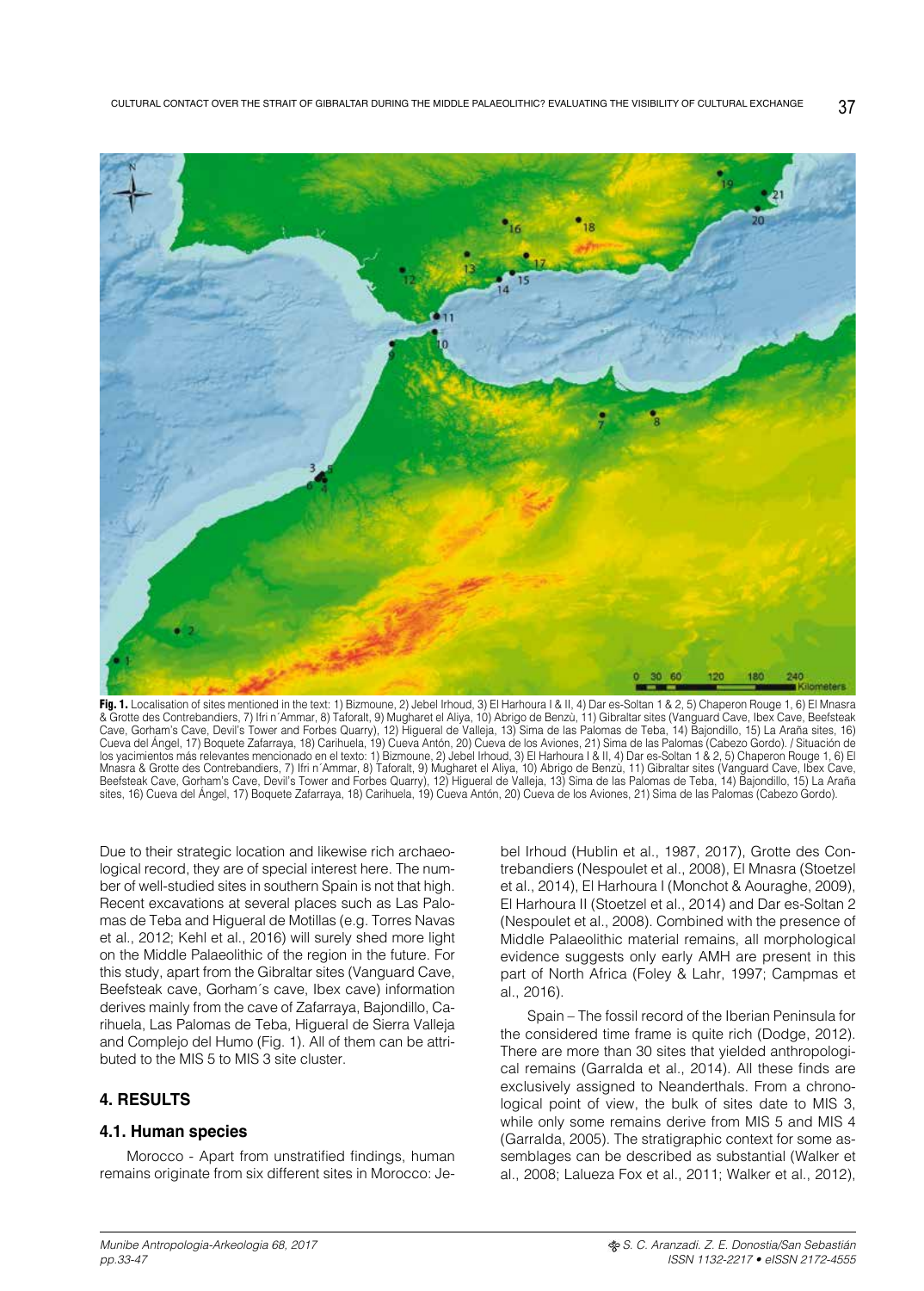

Fig. 1. Localisation of sites mentioned in the text: 1) Bizmoune, 2) Jebel Irhoud, 3) El Harhoura I & II, 4) Dar es-Soltan 1 & 2, 5) Chaperon Rouge 1, 6) El Mnasra & Grotte des Contrebandiers, 7) Ifri n´Ammar, 8) Taforalt, 9) Mugharet el Aliya, 10) Abrigo de Benzù, 11) Gibraltar sites (Vanguard Cave, Ibex Cave, Beefsteak Cave, Gorham's Cave, Devil's Tower and Forbes Quarry), 12) Higueral de Valleja, 13) Sima de las Palomas de Teba, 14) Bajondillo, 15) La Araña sites, 16) Cueva del Ángel, 17) Boquete Zafarraya, 18) Carihuela, 19) Cueva Antón, 20) Cueva de los Aviones, 21) Sima de las Palomas (Cabezo Gordo). / Situación de los yacimientos más relevantes mencionado en el texto: 1) Bizmoune, 2) Jebel Irhoud, 3) El Harhoura I & II, 4) Dar es-Soltan 1 & 2, 5) Chaperon Rouge 1, 6) El Mnasra & Grotte des Contrebandiers, 7) Ifri n´Ammar, 8) Taforalt, 9) Mugharet el Aliya, 10) Abrigo de Benzù, 11) Gibraltar sites (Vanguard Cave, Ibex Cave, Beefsteak Cave, Gorham's Cave, Devil's Tower and Forbes Quarry), 12) Higueral de Valleja, 13) Sima de las Palomas de Teba, 14) Bajondillo, 15) La Araña sites, 16) Cueva del Ángel, 17) Boquete Zafarraya, 18) Carihuela, 19) Cueva Antón, 20) Cueva de los Aviones, 21) Sima de las Palomas (Cabezo Gordo).

Due to their strategic location and likewise rich archaeological record, they are of special interest here. The number of well-studied sites in southern Spain is not that high. Recent excavations at several places such as Las Palomas de Teba and Higueral de Motillas (e.g. Torres Navas et al., 2012; Kehl et al., 2016) will surely shed more light on the Middle Palaeolithic of the region in the future. For this study, apart from the Gibraltar sites (Vanguard Cave, Beefsteak cave, Gorham´s cave, Ibex cave) information derives mainly from the cave of Zafarraya, Bajondillo, Carihuela, Las Palomas de Teba, Higueral de Sierra Valleja and Complejo del Humo (Fig. 1). All of them can be attributed to the MIS 5 to MIS 3 site cluster.

# **4. RESULTS**

## **4.1. Human species**

Morocco - Apart from unstratified findings, human remains originate from six different sites in Morocco: Jebel Irhoud (Hublin et al., 1987, 2017), Grotte des Contrebandiers (Nespoulet et al., 2008), El Mnasra (Stoetzel et al., 2014), El Harhoura I (Monchot & Aouraghe, 2009), El Harhoura II (Stoetzel et al., 2014) and Dar es-Soltan 2 (Nespoulet et al., 2008). Combined with the presence of Middle Palaeolithic material remains, all morphological evidence suggests only early AMH are present in this part of North Africa (Foley & Lahr, 1997; Campmas et al., 2016).

Spain – The fossil record of the Iberian Peninsula for the considered time frame is quite rich (Dodge, 2012). There are more than 30 sites that yielded anthropological remains (Garralda et al., 2014). All these finds are exclusively assigned to Neanderthals. From a chronological point of view, the bulk of sites date to MIS 3, while only some remains derive from MIS 5 and MIS 4 (Garralda, 2005). The stratigraphic context for some assemblages can be described as substantial (Walker et al., 2008; Lalueza Fox et al., 2011; Walker et al., 2012),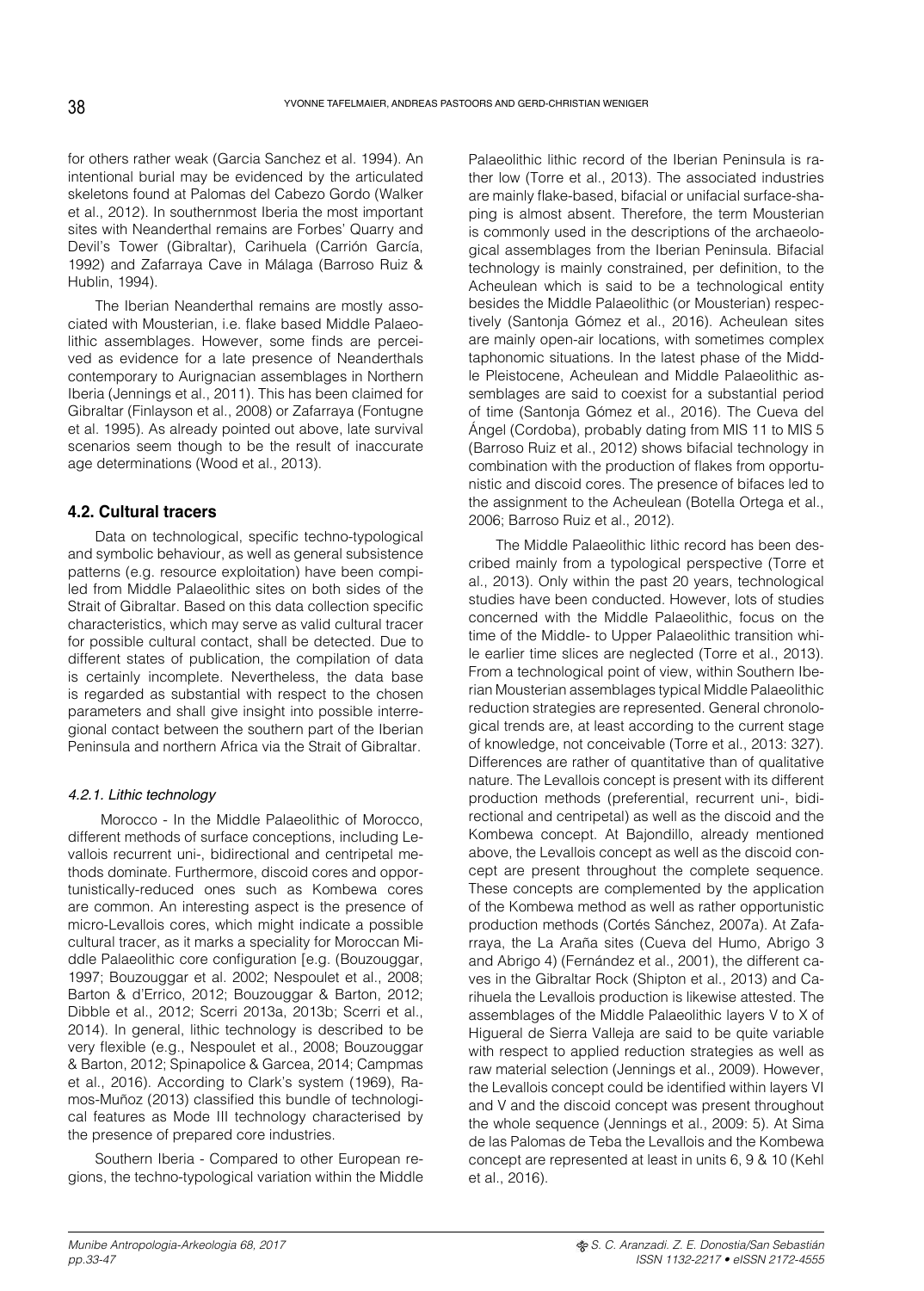for others rather weak (Garcia Sanchez et al. 1994). An intentional burial may be evidenced by the articulated skeletons found at Palomas del Cabezo Gordo (Walker et al., 2012). In southernmost Iberia the most important sites with Neanderthal remains are Forbes' Quarry and Devil's Tower (Gibraltar), Carihuela (Carrión García, 1992) and Zafarraya Cave in Málaga (Barroso Ruiz & Hublin, 1994).

The Iberian Neanderthal remains are mostly associated with Mousterian, i.e. flake based Middle Palaeolithic assemblages. However, some finds are perceived as evidence for a late presence of Neanderthals contemporary to Aurignacian assemblages in Northern Iberia (Jennings et al., 2011). This has been claimed for Gibraltar (Finlayson et al., 2008) or Zafarraya (Fontugne et al. 1995). As already pointed out above, late survival scenarios seem though to be the result of inaccurate age determinations (Wood et al., 2013).

# **4.2. Cultural tracers**

Data on technological, specific techno-typological and symbolic behaviour, as well as general subsistence patterns (e.g. resource exploitation) have been compiled from Middle Palaeolithic sites on both sides of the Strait of Gibraltar. Based on this data collection specific characteristics, which may serve as valid cultural tracer for possible cultural contact, shall be detected. Due to different states of publication, the compilation of data is certainly incomplete. Nevertheless, the data base is regarded as substantial with respect to the chosen parameters and shall give insight into possible interregional contact between the southern part of the Iberian Peninsula and northern Africa via the Strait of Gibraltar.

## *4.2.1. Lithic technology*

 Morocco - In the Middle Palaeolithic of Morocco, different methods of surface conceptions, including Levallois recurrent uni-, bidirectional and centripetal methods dominate. Furthermore, discoid cores and opportunistically-reduced ones such as Kombewa cores are common. An interesting aspect is the presence of micro-Levallois cores, which might indicate a possible cultural tracer, as it marks a speciality for Moroccan Middle Palaeolithic core configuration [e.g. (Bouzouggar, 1997; Bouzouggar et al. 2002; Nespoulet et al., 2008; Barton & d'Errico, 2012; Bouzouggar & Barton, 2012; Dibble et al., 2012; Scerri 2013a, 2013b; Scerri et al., 2014). In general, lithic technology is described to be very flexible (e.g., Nespoulet et al., 2008; Bouzouggar & Barton, 2012; Spinapolice & Garcea, 2014; Campmas et al., 2016). According to Clark's system (1969), Ramos-Muñoz (2013) classified this bundle of technological features as Mode III technology characterised by the presence of prepared core industries.

Southern Iberia - Compared to other European regions, the techno-typological variation within the Middle Palaeolithic lithic record of the Iberian Peninsula is rather low (Torre et al., 2013). The associated industries are mainly flake-based, bifacial or unifacial surface-shaping is almost absent. Therefore, the term Mousterian is commonly used in the descriptions of the archaeological assemblages from the Iberian Peninsula. Bifacial technology is mainly constrained, per definition, to the Acheulean which is said to be a technological entity besides the Middle Palaeolithic (or Mousterian) respectively (Santonja Gómez et al., 2016). Acheulean sites are mainly open-air locations, with sometimes complex taphonomic situations. In the latest phase of the Middle Pleistocene, Acheulean and Middle Palaeolithic assemblages are said to coexist for a substantial period of time (Santonja Gómez et al., 2016). The Cueva del Ángel (Cordoba), probably dating from MIS 11 to MIS 5 (Barroso Ruiz et al., 2012) shows bifacial technology in combination with the production of flakes from opportunistic and discoid cores. The presence of bifaces led to the assignment to the Acheulean (Botella Ortega et al., 2006; Barroso Ruiz et al., 2012).

The Middle Palaeolithic lithic record has been described mainly from a typological perspective (Torre et al., 2013). Only within the past 20 years, technological studies have been conducted. However, lots of studies concerned with the Middle Palaeolithic, focus on the time of the Middle- to Upper Palaeolithic transition while earlier time slices are neglected (Torre et al., 2013). From a technological point of view, within Southern Iberian Mousterian assemblages typical Middle Palaeolithic reduction strategies are represented. General chronological trends are, at least according to the current stage of knowledge, not conceivable (Torre et al., 2013: 327). Differences are rather of quantitative than of qualitative nature. The Levallois concept is present with its different production methods (preferential, recurrent uni-, bidirectional and centripetal) as well as the discoid and the Kombewa concept. At Bajondillo, already mentioned above, the Levallois concept as well as the discoid concept are present throughout the complete sequence. These concepts are complemented by the application of the Kombewa method as well as rather opportunistic production methods (Cortés Sánchez, 2007a). At Zafarraya, the La Araña sites (Cueva del Humo, Abrigo 3 and Abrigo 4) (Fernández et al., 2001), the different caves in the Gibraltar Rock (Shipton et al., 2013) and Carihuela the Levallois production is likewise attested. The assemblages of the Middle Palaeolithic layers V to X of Higueral de Sierra Valleja are said to be quite variable with respect to applied reduction strategies as well as raw material selection (Jennings et al., 2009). However, the Levallois concept could be identified within layers VI and V and the discoid concept was present throughout the whole sequence (Jennings et al., 2009: 5). At Sima de las Palomas de Teba the Levallois and the Kombewa concept are represented at least in units 6, 9 & 10 (Kehl et al., 2016).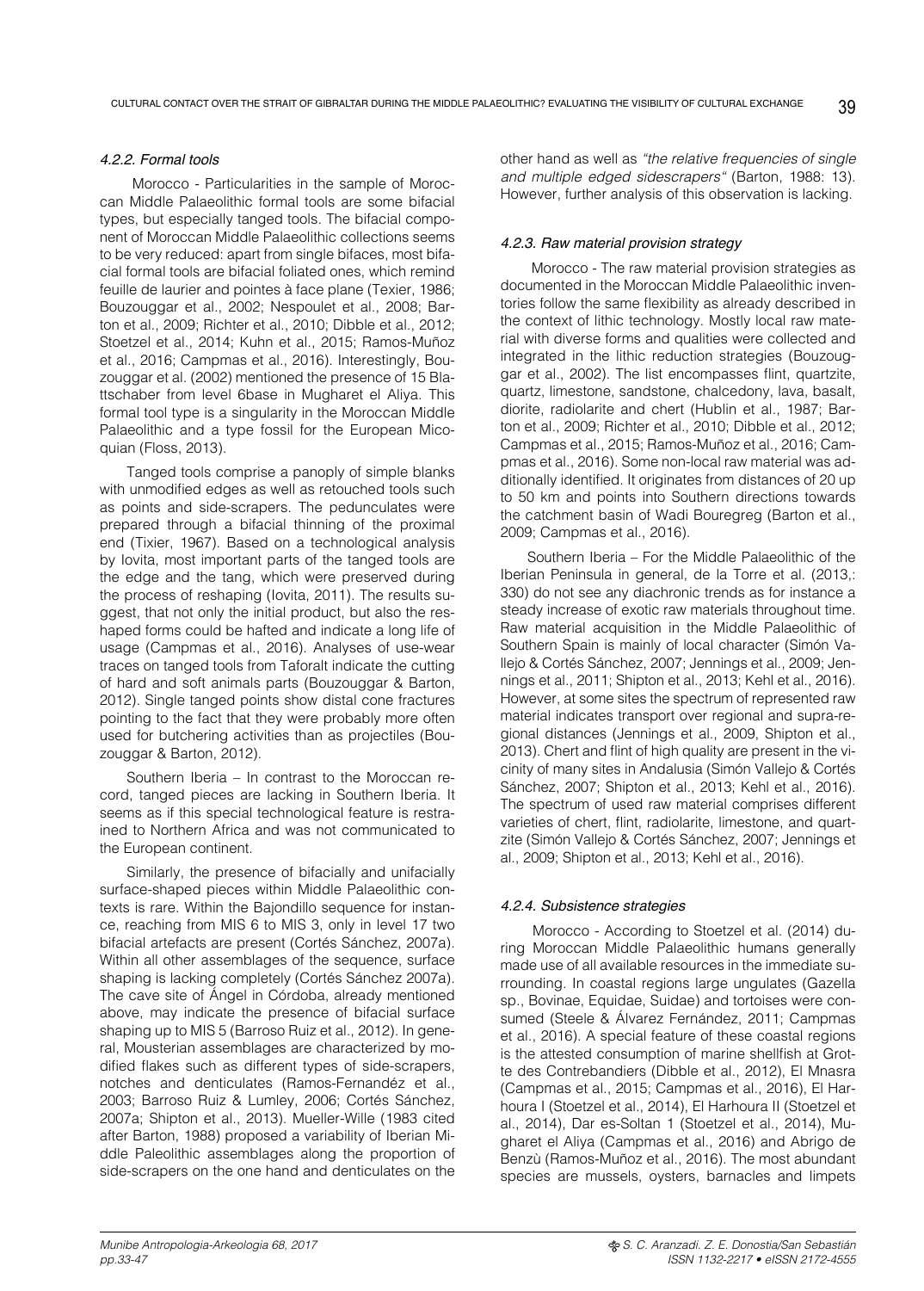#### *4.2.2. Formal tools*

 Morocco - Particularities in the sample of Moroccan Middle Palaeolithic formal tools are some bifacial types, but especially tanged tools. The bifacial component of Moroccan Middle Palaeolithic collections seems to be very reduced: apart from single bifaces, most bifacial formal tools are bifacial foliated ones, which remind feuille de laurier and pointes à face plane (Texier, 1986; Bouzouggar et al., 2002; Nespoulet et al., 2008; Barton et al., 2009; Richter et al., 2010; Dibble et al., 2012; Stoetzel et al., 2014; Kuhn et al., 2015; Ramos-Muñoz et al., 2016; Campmas et al., 2016). Interestingly, Bouzouggar et al. (2002) mentioned the presence of 15 Blattschaber from level 6base in Mugharet el Aliya. This formal tool type is a singularity in the Moroccan Middle Palaeolithic and a type fossil for the European Micoquian (Floss, 2013).

Tanged tools comprise a panoply of simple blanks with unmodified edges as well as retouched tools such as points and side-scrapers. The pedunculates were prepared through a bifacial thinning of the proximal end (Tixier, 1967). Based on a technological analysis by Iovita, most important parts of the tanged tools are the edge and the tang, which were preserved during the process of reshaping (Iovita, 2011). The results suggest, that not only the initial product, but also the reshaped forms could be hafted and indicate a long life of usage (Campmas et al., 2016). Analyses of use-wear traces on tanged tools from Taforalt indicate the cutting of hard and soft animals parts (Bouzouggar & Barton, 2012). Single tanged points show distal cone fractures pointing to the fact that they were probably more often used for butchering activities than as projectiles (Bouzouggar & Barton, 2012).

Southern Iberia – In contrast to the Moroccan record, tanged pieces are lacking in Southern Iberia. It seems as if this special technological feature is restrained to Northern Africa and was not communicated to the European continent.

Similarly, the presence of bifacially and unifacially surface-shaped pieces within Middle Palaeolithic contexts is rare. Within the Bajondillo sequence for instance, reaching from MIS 6 to MIS 3, only in level 17 two bifacial artefacts are present (Cortés Sánchez, 2007a). Within all other assemblages of the sequence, surface shaping is lacking completely (Cortés Sánchez 2007a). The cave site of Ángel in Córdoba, already mentioned above, may indicate the presence of bifacial surface shaping up to MIS 5 (Barroso Ruiz et al., 2012). In general, Mousterian assemblages are characterized by modified flakes such as different types of side-scrapers, notches and denticulates (Ramos-Fernandéz et al., 2003; Barroso Ruiz & Lumley, 2006; Cortés Sánchez, 2007a; Shipton et al., 2013). Mueller-Wille (1983 cited after Barton, 1988) proposed a variability of Iberian Middle Paleolithic assemblages along the proportion of side-scrapers on the one hand and denticulates on the

other hand as well as *"the relative frequencies of single and multiple edged sidescrapers"* (Barton, 1988: 13). However, further analysis of this observation is lacking.

#### *4.2.3. Raw material provision strategy*

 Morocco - The raw material provision strategies as documented in the Moroccan Middle Palaeolithic inventories follow the same flexibility as already described in the context of lithic technology. Mostly local raw material with diverse forms and qualities were collected and integrated in the lithic reduction strategies (Bouzouggar et al., 2002). The list encompasses flint, quartzite, quartz, limestone, sandstone, chalcedony, lava, basalt, diorite, radiolarite and chert (Hublin et al., 1987; Barton et al., 2009; Richter et al., 2010; Dibble et al., 2012; Campmas et al., 2015; Ramos-Muñoz et al., 2016; Campmas et al., 2016). Some non-local raw material was additionally identified. It originates from distances of 20 up to 50 km and points into Southern directions towards the catchment basin of Wadi Bouregreg (Barton et al., 2009; Campmas et al., 2016).

Southern Iberia – For the Middle Palaeolithic of the Iberian Peninsula in general, de la Torre et al. (2013,: 330) do not see any diachronic trends as for instance a steady increase of exotic raw materials throughout time. Raw material acquisition in the Middle Palaeolithic of Southern Spain is mainly of local character (Simón Vallejo & Cortés Sánchez, 2007; Jennings et al., 2009; Jennings et al., 2011; Shipton et al., 2013; Kehl et al., 2016). However, at some sites the spectrum of represented raw material indicates transport over regional and supra-regional distances (Jennings et al., 2009, Shipton et al., 2013). Chert and flint of high quality are present in the vicinity of many sites in Andalusia (Simón Vallejo & Cortés Sánchez, 2007; Shipton et al., 2013; Kehl et al., 2016). The spectrum of used raw material comprises different varieties of chert, flint, radiolarite, limestone, and quartzite (Simón Vallejo & Cortés Sánchez, 2007; Jennings et al., 2009; Shipton et al., 2013; Kehl et al., 2016).

#### *4.2.4. Subsistence strategies*

 Morocco - According to Stoetzel et al. (2014) during Moroccan Middle Palaeolithic humans generally made use of all available resources in the immediate surrounding. In coastal regions large ungulates (Gazella sp., Bovinae, Equidae, Suidae) and tortoises were consumed (Steele & Álvarez Fernández, 2011; Campmas et al., 2016). A special feature of these coastal regions is the attested consumption of marine shellfish at Grotte des Contrebandiers (Dibble et al., 2012), El Mnasra (Campmas et al., 2015; Campmas et al., 2016), El Harhoura I (Stoetzel et al., 2014), El Harhoura II (Stoetzel et al., 2014), Dar es-Soltan 1 (Stoetzel et al., 2014), Mugharet el Aliya (Campmas et al., 2016) and Abrigo de Benzù (Ramos-Muñoz et al., 2016). The most abundant species are mussels, oysters, barnacles and limpets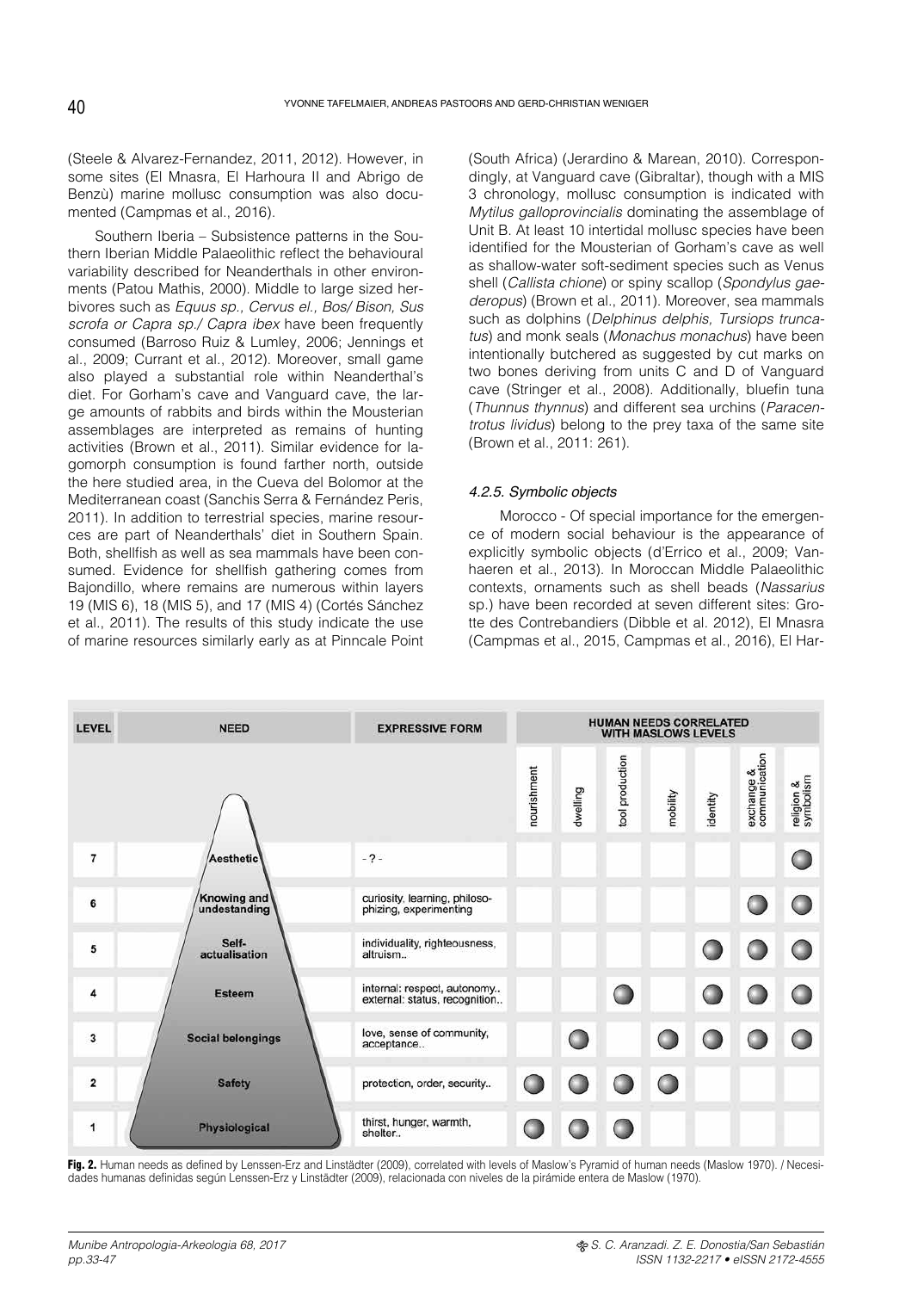(Steele & Alvarez-Fernandez, 2011, 2012). However, in some sites (El Mnasra, El Harhoura II and Abrigo de Benzù) marine mollusc consumption was also documented (Campmas et al., 2016).

Southern Iberia – Subsistence patterns in the Southern Iberian Middle Palaeolithic reflect the behavioural variability described for Neanderthals in other environments (Patou Mathis, 2000). Middle to large sized herbivores such as *Equus sp., Cervus el., Bos/ Bison, Sus scrofa or Capra sp./ Capra ibex* have been frequently consumed (Barroso Ruiz & Lumley, 2006; Jennings et al., 2009; Currant et al., 2012). Moreover, small game also played a substantial role within Neanderthal's diet. For Gorham's cave and Vanguard cave, the large amounts of rabbits and birds within the Mousterian assemblages are interpreted as remains of hunting activities (Brown et al., 2011). Similar evidence for lagomorph consumption is found farther north, outside the here studied area, in the Cueva del Bolomor at the Mediterranean coast (Sanchis Serra & Fernández Peris, 2011). In addition to terrestrial species, marine resources are part of Neanderthals' diet in Southern Spain. Both, shellfish as well as sea mammals have been consumed. Evidence for shellfish gathering comes from Bajondillo, where remains are numerous within layers 19 (MIS 6), 18 (MIS 5), and 17 (MIS 4) (Cortés Sánchez et al., 2011). The results of this study indicate the use of marine resources similarly early as at Pinncale Point (South Africa) (Jerardino & Marean, 2010). Correspondingly, at Vanguard cave (Gibraltar), though with a MIS 3 chronology, mollusc consumption is indicated with *Mytilus galloprovincialis* dominating the assemblage of Unit B. At least 10 intertidal mollusc species have been identified for the Mousterian of Gorham's cave as well as shallow-water soft-sediment species such as Venus shell (*Callista chione*) or spiny scallop (*Spondylus gaederopus*) (Brown et al., 2011). Moreover, sea mammals such as dolphins (*Delphinus delphis, Tursiops truncatus*) and monk seals (*Monachus monachus*) have been intentionally butchered as suggested by cut marks on two bones deriving from units C and D of Vanguard cave (Stringer et al., 2008). Additionally, bluefin tuna (*Thunnus thynnus*) and different sea urchins (*Paracentrotus lividus*) belong to the prey taxa of the same site (Brown et al., 2011: 261).

## *4.2.5. Symbolic objects*

 Morocco - Of special importance for the emergence of modern social behaviour is the appearance of explicitly symbolic objects (d'Errico et al., 2009; Vanhaeren et al., 2013). In Moroccan Middle Palaeolithic contexts, ornaments such as shell beads (*Nassarius* sp.) have been recorded at seven different sites: Grotte des Contrebandiers (Dibble et al. 2012), El Mnasra (Campmas et al., 2015, Campmas et al., 2016), El Har-

| <b>LEVEL</b>            | <b>NEED</b>                        | <b>EXPRESSIVE FORM</b>                                       | <b>HUMAN NEEDS CORRELATED</b><br><b>WITH MASLOWS LEVELS</b> |          |                 |          |          |                             |                         |
|-------------------------|------------------------------------|--------------------------------------------------------------|-------------------------------------------------------------|----------|-----------------|----------|----------|-----------------------------|-------------------------|
|                         |                                    |                                                              | nourishment                                                 | dwelling | tool production | mobility | identity | exchange &<br>communication | religion &<br>symbolism |
| 7                       | <b>Aesthetic</b>                   | $-2-$                                                        |                                                             |          |                 |          |          |                             |                         |
| 6                       | <b>Knowing and</b><br>undestanding | curiosity, learning, philoso-<br>phizing, experimenting      |                                                             |          |                 |          |          |                             |                         |
| 5                       | Self-<br>actualisation             | individuality, righteousness,<br>altruism                    |                                                             |          |                 |          |          |                             |                         |
| 4                       | <b>Esteem</b>                      | internal: respect, autonomy<br>external: status, recognition |                                                             |          |                 |          |          |                             |                         |
| 3                       | <b>Social belongings</b>           | love, sense of community,<br>acceptance                      |                                                             |          |                 |          |          |                             |                         |
| $\overline{\mathbf{2}}$ | <b>Safety</b>                      | protection, order, security                                  |                                                             |          |                 |          |          |                             |                         |
| 1                       | Physiological                      | thirst, hunger, warmth,<br>shelter                           |                                                             |          |                 |          |          |                             |                         |

Fig. 2. Human needs as defined by Lenssen-Erz and Linstädter (2009), correlated with levels of Maslow's Pyramid of human needs (Maslow 1970). / Necesidades humanas definidas según Lenssen-Erz y Linstädter (2009), relacionada con niveles de la pirámide entera de Maslow (1970).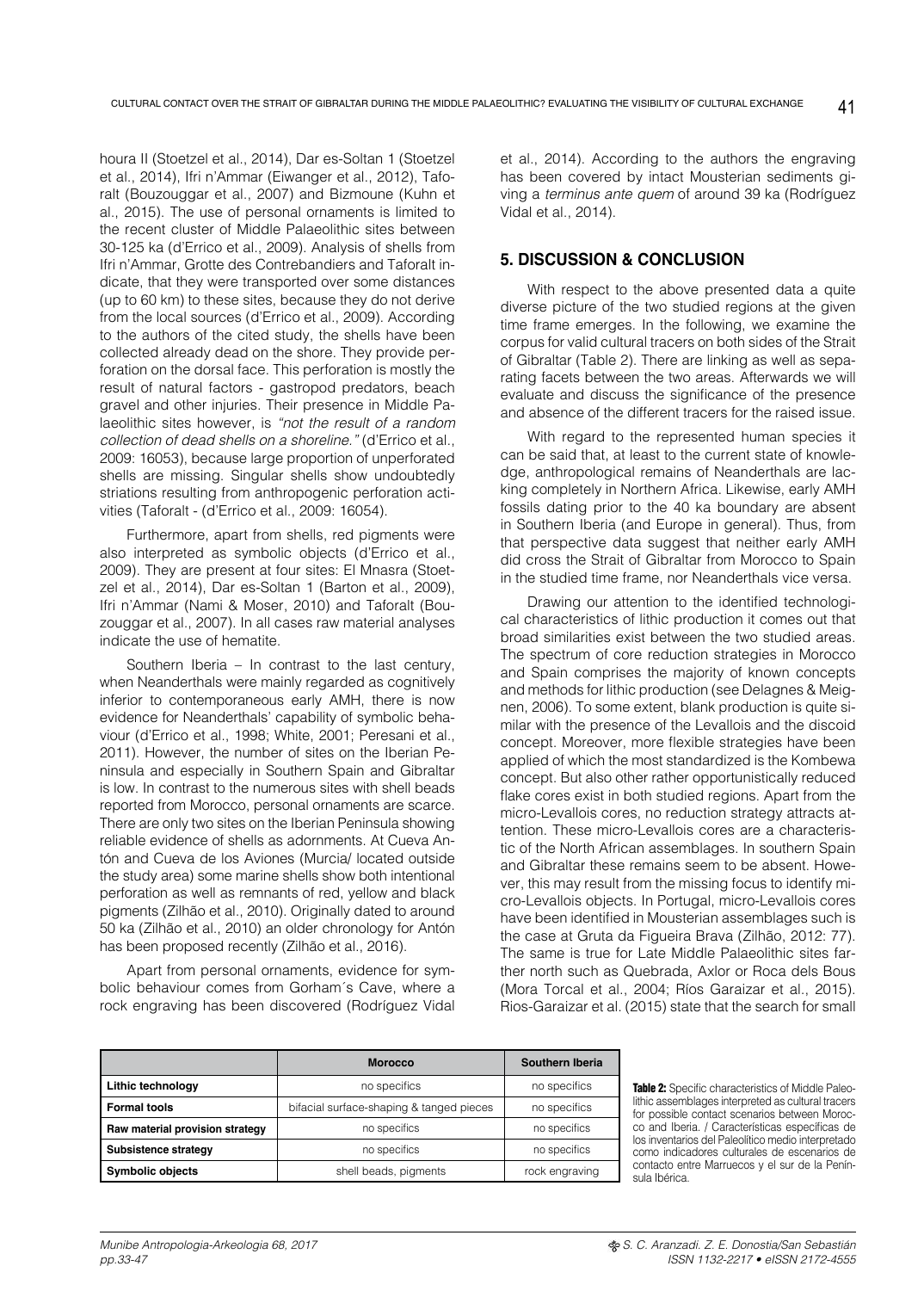houra II (Stoetzel et al., 2014), Dar es-Soltan 1 (Stoetzel et al., 2014), Ifri n'Ammar (Eiwanger et al., 2012), Taforalt (Bouzouggar et al., 2007) and Bizmoune (Kuhn et al., 2015). The use of personal ornaments is limited to the recent cluster of Middle Palaeolithic sites between 30-125 ka (d'Errico et al., 2009). Analysis of shells from Ifri n'Ammar, Grotte des Contrebandiers and Taforalt indicate, that they were transported over some distances (up to 60 km) to these sites, because they do not derive from the local sources (d'Errico et al., 2009). According to the authors of the cited study, the shells have been collected already dead on the shore. They provide perforation on the dorsal face. This perforation is mostly the result of natural factors - gastropod predators, beach gravel and other injuries. Their presence in Middle Palaeolithic sites however, is *"not the result of a random collection of dead shells on a shoreline."* (d'Errico et al., 2009: 16053), because large proportion of unperforated shells are missing. Singular shells show undoubtedly striations resulting from anthropogenic perforation activities (Taforalt - (d'Errico et al., 2009: 16054).

Furthermore, apart from shells, red pigments were also interpreted as symbolic objects (d'Errico et al., 2009). They are present at four sites: El Mnasra (Stoetzel et al., 2014), Dar es-Soltan 1 (Barton et al., 2009), Ifri n'Ammar (Nami & Moser, 2010) and Taforalt (Bouzouggar et al., 2007). In all cases raw material analyses indicate the use of hematite.

Southern Iberia – In contrast to the last century, when Neanderthals were mainly regarded as cognitively inferior to contemporaneous early AMH, there is now evidence for Neanderthals' capability of symbolic behaviour (d'Errico et al., 1998; White, 2001; Peresani et al., 2011). However, the number of sites on the Iberian Peninsula and especially in Southern Spain and Gibraltar is low. In contrast to the numerous sites with shell beads reported from Morocco, personal ornaments are scarce. There are only two sites on the Iberian Peninsula showing reliable evidence of shells as adornments. At Cueva Antón and Cueva de los Aviones (Murcia/ located outside the study area) some marine shells show both intentional perforation as well as remnants of red, yellow and black pigments (Zilhão et al., 2010). Originally dated to around 50 ka (Zilhão et al., 2010) an older chronology for Antón has been proposed recently (Zilhão et al., 2016).

Apart from personal ornaments, evidence for symbolic behaviour comes from Gorham´s Cave, where a rock engraving has been discovered (Rodríguez Vidal et al., 2014). According to the authors the engraving has been covered by intact Mousterian sediments giving a *terminus ante quem* of around 39 ka (Rodríguez Vidal et al., 2014).

# **5. DISCUSSION & CONCLUSION**

With respect to the above presented data a quite diverse picture of the two studied regions at the given time frame emerges. In the following, we examine the corpus for valid cultural tracers on both sides of the Strait of Gibraltar (Table 2). There are linking as well as separating facets between the two areas. Afterwards we will evaluate and discuss the significance of the presence and absence of the different tracers for the raised issue.

With regard to the represented human species it can be said that, at least to the current state of knowledge, anthropological remains of Neanderthals are lacking completely in Northern Africa. Likewise, early AMH fossils dating prior to the 40 ka boundary are absent in Southern Iberia (and Europe in general). Thus, from that perspective data suggest that neither early AMH did cross the Strait of Gibraltar from Morocco to Spain in the studied time frame, nor Neanderthals vice versa.

Drawing our attention to the identified technological characteristics of lithic production it comes out that broad similarities exist between the two studied areas. The spectrum of core reduction strategies in Morocco and Spain comprises the majority of known concepts and methods for lithic production (see Delagnes & Meignen, 2006). To some extent, blank production is quite similar with the presence of the Levallois and the discoid concept. Moreover, more flexible strategies have been applied of which the most standardized is the Kombewa concept. But also other rather opportunistically reduced flake cores exist in both studied regions. Apart from the micro-Levallois cores, no reduction strategy attracts attention. These micro-Levallois cores are a characteristic of the North African assemblages. In southern Spain and Gibraltar these remains seem to be absent. However, this may result from the missing focus to identify micro-Levallois objects. In Portugal, micro-Levallois cores have been identified in Mousterian assemblages such is the case at Gruta da Figueira Brava (Zilhão, 2012: 77). The same is true for Late Middle Palaeolithic sites farther north such as Quebrada, Axlor or Roca dels Bous (Mora Torcal et al., 2004; Ríos Garaizar et al., 2015). Rios-Garaizar et al. (2015) state that the search for small

|                                 | <b>Morocco</b>                           | Southern Iberia |  |
|---------------------------------|------------------------------------------|-----------------|--|
| Lithic technology               | no specifics                             | no specifics    |  |
| <b>Formal tools</b>             | bifacial surface-shaping & tanged pieces | no specifics    |  |
| Raw material provision strategy | no specifics                             | no specifics    |  |
| Subsistence strategy            | no specifics                             | no specifics    |  |
| <b>Symbolic objects</b>         | shell beads, pigments                    | rock engraving  |  |

Table 2: Specific characteristics of Middle Paleolithic assemblages interpreted as cultural tracers for possible contact scenarios between Morocco and Iberia. / Características específicas de los inventarios del Paleolítico medio interpretado como indicadores culturales de escenarios de contacto entre Marruecos y el sur de la Península Ibérica.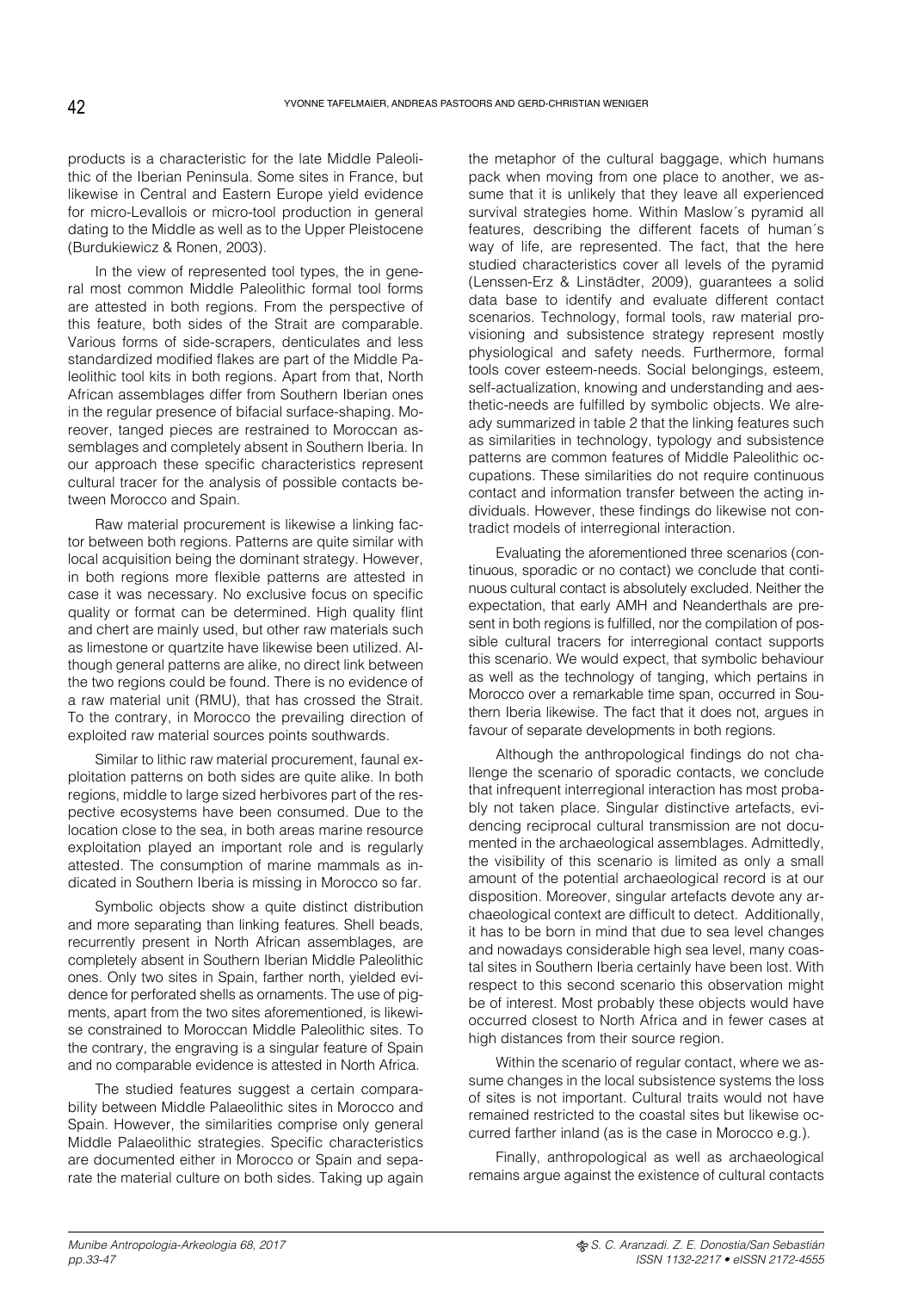products is a characteristic for the late Middle Paleolithic of the Iberian Peninsula. Some sites in France, but likewise in Central and Eastern Europe yield evidence for micro-Levallois or micro-tool production in general dating to the Middle as well as to the Upper Pleistocene (Burdukiewicz & Ronen, 2003).

In the view of represented tool types, the in general most common Middle Paleolithic formal tool forms are attested in both regions. From the perspective of this feature, both sides of the Strait are comparable. Various forms of side-scrapers, denticulates and less standardized modified flakes are part of the Middle Paleolithic tool kits in both regions. Apart from that, North African assemblages differ from Southern Iberian ones in the regular presence of bifacial surface-shaping. Moreover, tanged pieces are restrained to Moroccan assemblages and completely absent in Southern Iberia. In our approach these specific characteristics represent cultural tracer for the analysis of possible contacts between Morocco and Spain.

Raw material procurement is likewise a linking factor between both regions. Patterns are quite similar with local acquisition being the dominant strategy. However, in both regions more flexible patterns are attested in case it was necessary. No exclusive focus on specific quality or format can be determined. High quality flint and chert are mainly used, but other raw materials such as limestone or quartzite have likewise been utilized. Although general patterns are alike, no direct link between the two regions could be found. There is no evidence of a raw material unit (RMU), that has crossed the Strait. To the contrary, in Morocco the prevailing direction of exploited raw material sources points southwards.

Similar to lithic raw material procurement, faunal exploitation patterns on both sides are quite alike. In both regions, middle to large sized herbivores part of the respective ecosystems have been consumed. Due to the location close to the sea, in both areas marine resource exploitation played an important role and is regularly attested. The consumption of marine mammals as indicated in Southern Iberia is missing in Morocco so far.

Symbolic objects show a quite distinct distribution and more separating than linking features. Shell beads, recurrently present in North African assemblages, are completely absent in Southern Iberian Middle Paleolithic ones. Only two sites in Spain, farther north, yielded evidence for perforated shells as ornaments. The use of pigments, apart from the two sites aforementioned, is likewise constrained to Moroccan Middle Paleolithic sites. To the contrary, the engraving is a singular feature of Spain and no comparable evidence is attested in North Africa.

The studied features suggest a certain comparability between Middle Palaeolithic sites in Morocco and Spain. However, the similarities comprise only general Middle Palaeolithic strategies. Specific characteristics are documented either in Morocco or Spain and separate the material culture on both sides. Taking up again the metaphor of the cultural baggage, which humans pack when moving from one place to another, we assume that it is unlikely that they leave all experienced survival strategies home. Within Maslow´s pyramid all features, describing the different facets of human´s way of life, are represented. The fact, that the here studied characteristics cover all levels of the pyramid (Lenssen-Erz & Linstädter, 2009), guarantees a solid data base to identify and evaluate different contact scenarios. Technology, formal tools, raw material provisioning and subsistence strategy represent mostly physiological and safety needs. Furthermore, formal tools cover esteem-needs. Social belongings, esteem, self-actualization, knowing and understanding and aesthetic-needs are fulfilled by symbolic objects. We already summarized in table 2 that the linking features such as similarities in technology, typology and subsistence patterns are common features of Middle Paleolithic occupations. These similarities do not require continuous contact and information transfer between the acting individuals. However, these findings do likewise not contradict models of interregional interaction.

Evaluating the aforementioned three scenarios (continuous, sporadic or no contact) we conclude that continuous cultural contact is absolutely excluded. Neither the expectation, that early AMH and Neanderthals are present in both regions is fulfilled, nor the compilation of possible cultural tracers for interregional contact supports this scenario. We would expect, that symbolic behaviour as well as the technology of tanging, which pertains in Morocco over a remarkable time span, occurred in Southern Iberia likewise. The fact that it does not, argues in favour of separate developments in both regions.

Although the anthropological findings do not challenge the scenario of sporadic contacts, we conclude that infrequent interregional interaction has most probably not taken place. Singular distinctive artefacts, evidencing reciprocal cultural transmission are not documented in the archaeological assemblages. Admittedly, the visibility of this scenario is limited as only a small amount of the potential archaeological record is at our disposition. Moreover, singular artefacts devote any archaeological context are difficult to detect. Additionally, it has to be born in mind that due to sea level changes and nowadays considerable high sea level, many coastal sites in Southern Iberia certainly have been lost. With respect to this second scenario this observation might be of interest. Most probably these objects would have occurred closest to North Africa and in fewer cases at high distances from their source region.

Within the scenario of regular contact, where we assume changes in the local subsistence systems the loss of sites is not important. Cultural traits would not have remained restricted to the coastal sites but likewise occurred farther inland (as is the case in Morocco e.g.).

Finally, anthropological as well as archaeological remains argue against the existence of cultural contacts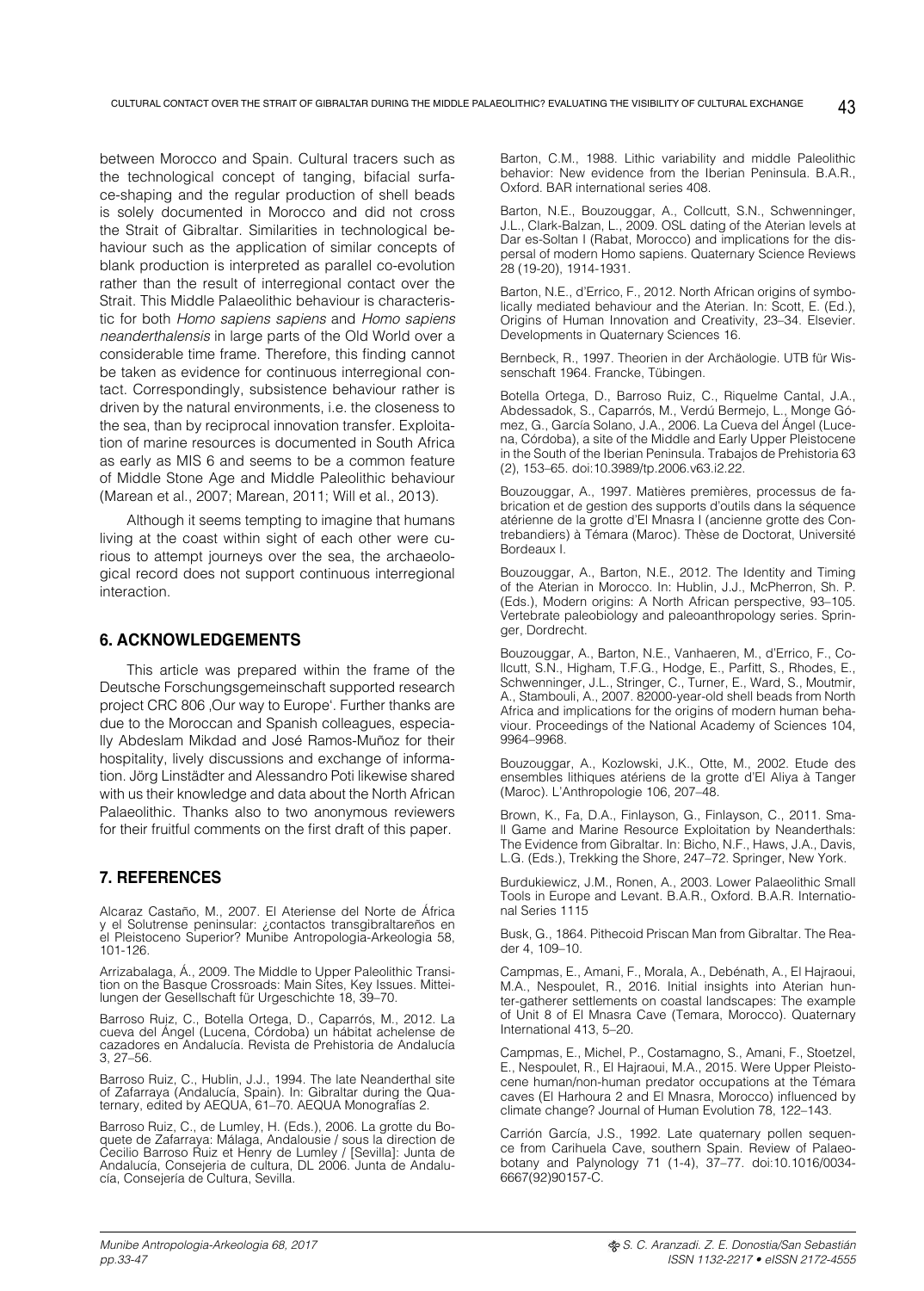between Morocco and Spain. Cultural tracers such as the technological concept of tanging, bifacial surface-shaping and the regular production of shell beads is solely documented in Morocco and did not cross the Strait of Gibraltar. Similarities in technological behaviour such as the application of similar concepts of blank production is interpreted as parallel co-evolution rather than the result of interregional contact over the Strait. This Middle Palaeolithic behaviour is characteristic for both *Homo sapiens sapiens* and *Homo sapiens neanderthalensis* in large parts of the Old World over a considerable time frame. Therefore, this finding cannot be taken as evidence for continuous interregional contact. Correspondingly, subsistence behaviour rather is driven by the natural environments, i.e. the closeness to the sea, than by reciprocal innovation transfer. Exploitation of marine resources is documented in South Africa as early as MIS 6 and seems to be a common feature of Middle Stone Age and Middle Paleolithic behaviour (Marean et al., 2007; Marean, 2011; Will et al., 2013).

Although it seems tempting to imagine that humans living at the coast within sight of each other were curious to attempt journeys over the sea, the archaeological record does not support continuous interregional interaction.

#### **6. ACKNOWLEDGEMENTS**

This article was prepared within the frame of the Deutsche Forschungsgemeinschaft supported research project CRC 806 .Our way to Europe'. Further thanks are due to the Moroccan and Spanish colleagues, especially Abdeslam Mikdad and José Ramos-Muñoz for their hospitality, lively discussions and exchange of information. Jörg Linstädter and Alessandro Poti likewise shared with us their knowledge and data about the North African Palaeolithic. Thanks also to two anonymous reviewers for their fruitful comments on the first draft of this paper.

## **7. REFERENCES**

Alcaraz Castaño, M., 2007. El Ateriense del Norte de África y el Solutrense peninsular: ¿contactos transgibraltareños en el Pleistoceno Superior? Munibe Antropologia-Arkeologia 58, 101-126.

Arrizabalaga, Á., 2009. The Middle to Upper Paleolithic Transition on the Basque Crossroads: Main Sites, Key Issues. Mitteilungen der Gesellschaft für Urgeschichte 18, 39–70.

Barroso Ruiz, C., Botella Ortega, D., Caparrós, M., 2012. La cueva del Ángel (Lucena, Córdoba) un hábitat achelense de cazadores en Andalucía. Revista de Prehistoria de Andalucía 3, 27–56.

Barroso Ruiz, C., Hublin, J.J., 1994. The late Neanderthal site of Zafarraya (Andalucía, Spain). In: Gibraltar during the Quaternary, edited by AEQUA, 61–70. AEQUA Monografías 2.

Barroso Ruiz, C., de Lumley, H. (Eds.), 2006. La grotte du Boquete de Zafarraya: Málaga, Andalousie / sous la direction de Cecilio Barroso Ruiz et Henry de Lumley / [Sevilla]: Junta de Andalucía, Consejeria de cultura, DL 2006. Junta de Andalucía, Consejería de Cultura, Sevilla.

Barton, C.M., 1988. Lithic variability and middle Paleolithic behavior: New evidence from the Iberian Peninsula. B.A.R., Oxford. BAR international series 408.

Barton, N.E., Bouzouggar, A., Collcutt, S.N., Schwenninger, J.L., Clark-Balzan, L., 2009. OSL dating of the Aterian levels at Dar es-Soltan I (Rabat, Morocco) and implications for the dispersal of modern Homo sapiens. Quaternary Science Reviews 28 (19-20), 1914-1931.

Barton, N.E., d'Errico, F., 2012. North African origins of symbolically mediated behaviour and the Aterian. In: Scott, E. (Ed.), Origins of Human Innovation and Creativity, 23–34. Elsevier. Developments in Quaternary Sciences 16.

Bernbeck, R., 1997. Theorien in der Archäologie. UTB für Wissenschaft 1964. Francke, Tübingen.

Botella Ortega, D., Barroso Ruiz, C., Riquelme Cantal, J.A., Abdessadok, S., Caparrós, M., Verdú Bermejo, L., Monge Gómez, G., García Solano, J.A., 2006. La Cueva del Ángel (Lucena, Córdoba), a site of the Middle and Early Upper Pleistocene in the South of the Iberian Peninsula. Trabajos de Prehistoria 63 (2), 153–65. doi:10.3989/tp.2006.v63.i2.22.

Bouzouggar, A., 1997. Matières premières, processus de fabrication et de gestion des supports d'outils dans la séquence atérienne de la grotte d'El Mnasra I (ancienne grotte des Contrebandiers) à Témara (Maroc). Thèse de Doctorat, Université Bordeaux I.

Bouzouggar, A., Barton, N.E., 2012. The Identity and Timing of the Aterian in Morocco. In: Hublin, J.J., McPherron, Sh. P. (Eds.), Modern origins: A North African perspective, 93–105. Vertebrate paleobiology and paleoanthropology series. Springer, Dordrecht.

Bouzouggar, A., Barton, N.E., Vanhaeren, M., d'Errico, F., Collcutt, S.N., Higham, T.F.G., Hodge, E., Parfitt, S., Rhodes, E., Schwenninger, J.L., Stringer, C., Turner, E., Ward, S., Moutmir, A., Stambouli, A., 2007. 82000-year-old shell beads from North Africa and implications for the origins of modern human behaviour. Proceedings of the National Academy of Sciences 104, 9964–9968.

Bouzouggar, A., Kozlowski, J.K., Otte, M., 2002. Etude des ensembles lithiques atériens de la grotte d'El Aliya à Tanger (Maroc). L'Anthropologie 106, 207–48.

Brown, K., Fa, D.A., Finlayson, G., Finlayson, C., 2011. Small Game and Marine Resource Exploitation by Neanderthals: The Evidence from Gibraltar. In: Bicho, N.F., Haws, J.A., Davis, L.G. (Eds.), Trekking the Shore, 247–72. Springer, New York.

Burdukiewicz, J.M., Ronen, A., 2003. Lower Palaeolithic Small Tools in Europe and Levant. B.A.R., Oxford. B.A.R. International Series 1115

Busk, G., 1864. Pithecoid Priscan Man from Gibraltar. The Reader 4, 109–10.

Campmas, E., Amani, F., Morala, A., Debénath, A., El Hajraoui, M.A., Nespoulet, R., 2016. Initial insights into Aterian hunter-gatherer settlements on coastal landscapes: The example of Unit 8 of El Mnasra Cave (Temara, Morocco). Quaternary International 413, 5–20.

Campmas, E., Michel, P., Costamagno, S., Amani, F., Stoetzel, E., Nespoulet, R., El Hajraoui, M.A., 2015. Were Upper Pleistocene human/non-human predator occupations at the Témara caves (El Harhoura 2 and El Mnasra, Morocco) influenced by climate change? Journal of Human Evolution 78, 122–143.

Carrión García, J.S., 1992. Late quaternary pollen sequence from Carihuela Cave, southern Spain. Review of Palaeobotany and Palynology 71 (1-4), 37–77. doi:10.1016/0034- 6667(92)90157-C.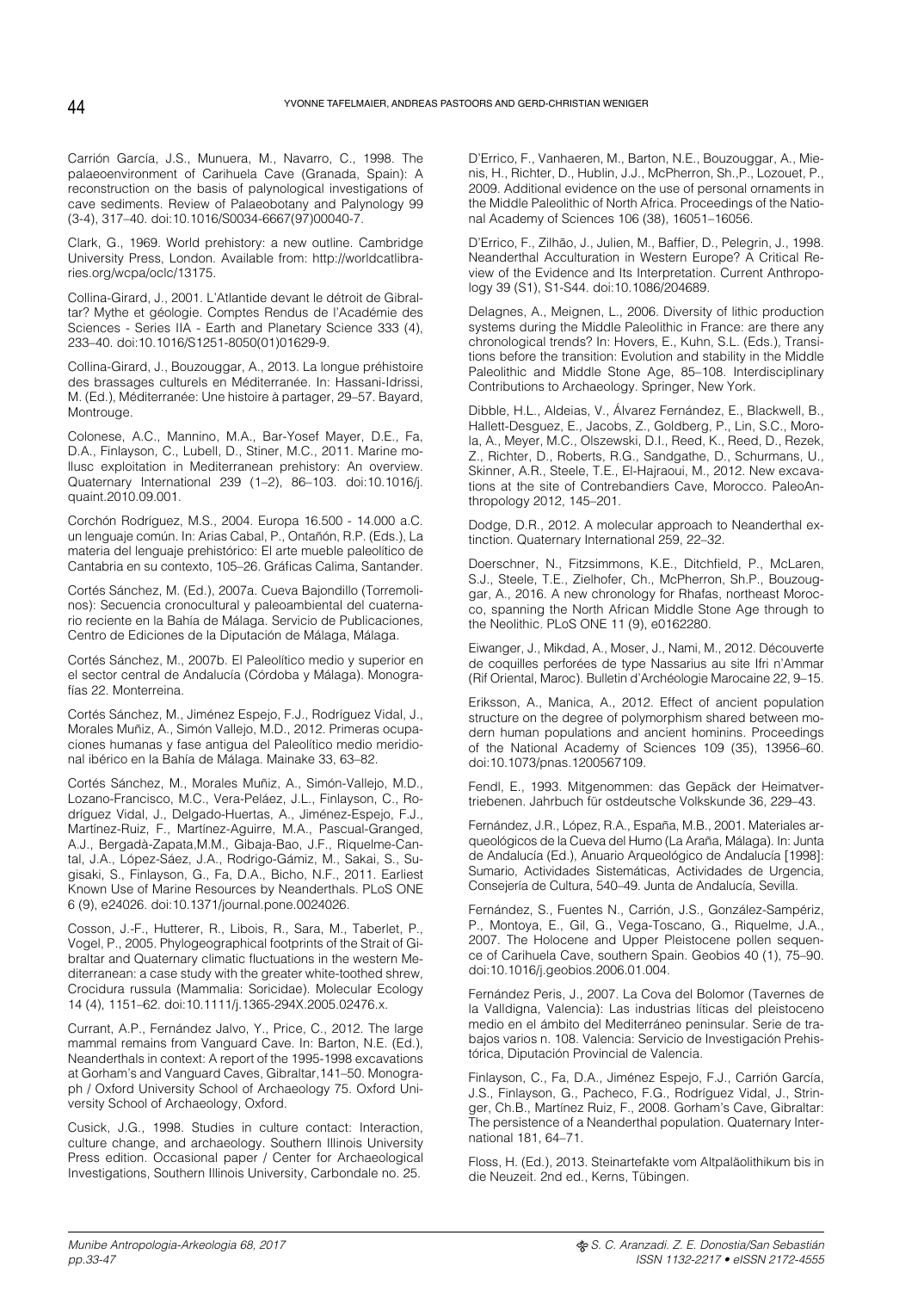Carrión García, J.S., Munuera, M., Navarro, C., 1998. The palaeoenvironment of Carihuela Cave (Granada, Spain): A reconstruction on the basis of palynological investigations of cave sediments. Review of Palaeobotany and Palynology 99 (3-4), 317–40. doi:10.1016/S0034-6667(97)00040-7.

Clark, G., 1969. World prehistory: a new outline. Cambridge University Press, London. Available from: http://worldcatlibraries.org/wcpa/oclc/13175.

Collina-Girard, J., 2001. L'Atlantide devant le détroit de Gibraltar? Mythe et géologie. Comptes Rendus de l'Académie des Sciences - Series IIA - Earth and Planetary Science 333 (4), 233–40. doi:10.1016/S1251-8050(01)01629-9.

Collina-Girard, J., Bouzouggar, A., 2013. La longue préhistoire des brassages culturels en Méditerranée. In: Hassani-Idrissi, M. (Ed.), Méditerranée: Une histoire à partager, 29–57. Bayard, Montrouge.

Colonese, A.C., Mannino, M.A., Bar-Yosef Mayer, D.E., Fa, D.A., Finlayson, C., Lubell, D., Stiner, M.C., 2011. Marine mollusc exploitation in Mediterranean prehistory: An overview. Quaternary International 239 (1–2), 86–103. doi:10.1016/j. quaint.2010.09.001.

Corchón Rodríguez, M.S., 2004. Europa 16.500 - 14.000 a.C. un lenguaje común. In: Arias Cabal, P., Ontañón, R.P. (Eds.), La materia del lenguaje prehistórico: El arte mueble paleolítico de Cantabria en su contexto, 105–26. Gráficas Calima, Santander.

Cortés Sánchez, M. (Ed.), 2007a. Cueva Bajondillo (Torremolinos): Secuencia cronocultural y paleoambiental del cuaternario reciente en la Bahía de Málaga. Servicio de Publicaciones, Centro de Ediciones de la Diputación de Málaga, Málaga.

Cortés Sánchez, M., 2007b. El Paleolítico medio y superior en el sector central de Andalucía (Córdoba y Málaga). Monografías 22. Monterreina.

Cortés Sánchez, M., Jiménez Espejo, F.J., Rodríguez Vidal, J., Morales Muñiz, A., Simón Vallejo, M.D., 2012. Primeras ocupaciones humanas y fase antigua del Paleolítico medio meridional ibérico en la Bahía de Málaga. Mainake 33, 63–82.

Cortés Sánchez, M., Morales Muñiz, A., Simón-Vallejo, M.D., Lozano-Francisco, M.C., Vera-Peláez, J.L., Finlayson, C., Rodríguez Vidal, J., Delgado-Huertas, A., Jiménez-Espejo, F.J., Martínez-Ruiz, F., Martínez-Aguirre, M.A., Pascual-Granged, A.J., Bergadà-Zapata,M.M., Gibaja-Bao, J.F., Riquelme-Cantal, J.A., López-Sáez, J.A., Rodrigo-Gámiz, M., Sakai, S., Sugisaki, S., Finlayson, G., Fa, D.A., Bicho, N.F., 2011. Earliest Known Use of Marine Resources by Neanderthals. PLoS ONE 6 (9), e24026. doi:10.1371/journal.pone.0024026.

Cosson, J.-F., Hutterer, R., Libois, R., Sara, M., Taberlet, P., Vogel, P., 2005. Phylogeographical footprints of the Strait of Gibraltar and Quaternary climatic fluctuations in the western Mediterranean: a case study with the greater white-toothed shrew, Crocidura russula (Mammalia: Soricidae). Molecular Ecology 14 (4), 1151–62. doi:10.1111/j.1365-294X.2005.02476.x.

Currant, A.P., Fernández Jalvo, Y., Price, C., 2012. The large mammal remains from Vanguard Cave. In: Barton, N.E. (Ed.), Neanderthals in context: A report of the 1995-1998 excavations at Gorham's and Vanguard Caves, Gibraltar,141–50. Monograph / Oxford University School of Archaeology 75. Oxford University School of Archaeology, Oxford.

Cusick, J.G., 1998. Studies in culture contact: Interaction, culture change, and archaeology. Southern Illinois University Press edition. Occasional paper / Center for Archaeological Investigations, Southern Illinois University, Carbondale no. 25.

D'Errico, F., Vanhaeren, M., Barton, N.E., Bouzouggar, A., Mienis, H., Richter, D., Hublin, J.J., McPherron, Sh.,P., Lozouet, P., 2009. Additional evidence on the use of personal ornaments in the Middle Paleolithic of North Africa. Proceedings of the National Academy of Sciences 106 (38), 16051–16056.

D'Errico, F., Zilhão, J., Julien, M., Baffier, D., Pelegrin, J., 1998. Neanderthal Acculturation in Western Europe? A Critical Review of the Evidence and Its Interpretation. Current Anthropology 39 (S1), S1-S44. doi:10.1086/204689.

Delagnes, A., Meignen, L., 2006. Diversity of lithic production systems during the Middle Paleolithic in France: are there any chronological trends? In: Hovers, E., Kuhn, S.L. (Eds.), Transitions before the transition: Evolution and stability in the Middle Paleolithic and Middle Stone Age, 85–108. Interdisciplinary Contributions to Archaeology. Springer, New York.

Dibble, H.L., Aldeias, V., Álvarez Fernández, E., Blackwell, B., Hallett-Desguez, E., Jacobs, Z., Goldberg, P., Lin, S.C., Morola, A., Meyer, M.C., Olszewski, D.I., Reed, K., Reed, D., Rezek, Z., Richter, D., Roberts, R.G., Sandgathe, D., Schurmans, U., Skinner, A.R., Steele, T.E., El-Hajraoui, M., 2012. New excavations at the site of Contrebandiers Cave, Morocco. PaleoAnthropology 2012, 145–201.

Dodge, D.R., 2012. A molecular approach to Neanderthal extinction. Quaternary International 259, 22–32.

Doerschner, N., Fitzsimmons, K.E., Ditchfield, P., McLaren, S.J., Steele, T.E., Zielhofer, Ch., McPherron, Sh.P., Bouzouggar, A., 2016. A new chronology for Rhafas, northeast Morocco, spanning the North African Middle Stone Age through to the Neolithic. PLoS ONE 11 (9), e0162280.

Eiwanger, J., Mikdad, A., Moser, J., Nami, M., 2012. Découverte de coquilles perforées de type Nassarius au site Ifri n'Ammar (Rif Oriental, Maroc). Bulletin d'Archéologie Marocaine 22, 9–15.

Eriksson, A., Manica, A., 2012. Effect of ancient population structure on the degree of polymorphism shared between modern human populations and ancient hominins. Proceedings of the National Academy of Sciences 109 (35), 13956–60. doi:10.1073/pnas.1200567109.

Fendl, E., 1993. Mitgenommen: das Gepäck der Heimatvertriebenen. Jahrbuch für ostdeutsche Volkskunde 36, 229–43.

Fernández, J.R., López, R.A., España, M.B., 2001. Materiales arqueológicos de la Cueva del Humo (La Araña, Málaga). In: Junta de Andalucía (Ed.), Anuario Arqueológico de Andalucía [1998]: Sumario, Actividades Sistemáticas, Actividades de Urgencia, Consejería de Cultura, 540–49. Junta de Andalucía, Sevilla.

Fernández, S., Fuentes N., Carrión, J.S., González-Sampériz, P., Montoya, E., Gil, G., Vega-Toscano, G., Riquelme, J.A., 2007. The Holocene and Upper Pleistocene pollen sequence of Carihuela Cave, southern Spain. Geobios 40 (1), 75–90. doi:10.1016/j.geobios.2006.01.004.

Fernández Peris, J., 2007. La Cova del Bolomor (Tavernes de la Valldigna, Valencia): Las industrias líticas del pleistoceno medio en el ámbito del Mediterráneo peninsular. Serie de trabajos varios n. 108. Valencia: Servicio de Investigación Prehistórica, Diputación Provincial de Valencia.

Finlayson, C., Fa, D.A., Jiménez Espejo, F.J., Carrión García, J.S., Finlayson, G., Pacheco, F.G., Rodríguez Vidal, J., Stringer, Ch.B., Martínez Ruiz, F., 2008. Gorham's Cave, Gibraltar: The persistence of a Neanderthal population. Quaternary International 181, 64–71.

Floss, H. (Ed.), 2013. Steinartefakte vom Altpaläolithikum bis in die Neuzeit. 2nd ed., Kerns, Tübingen.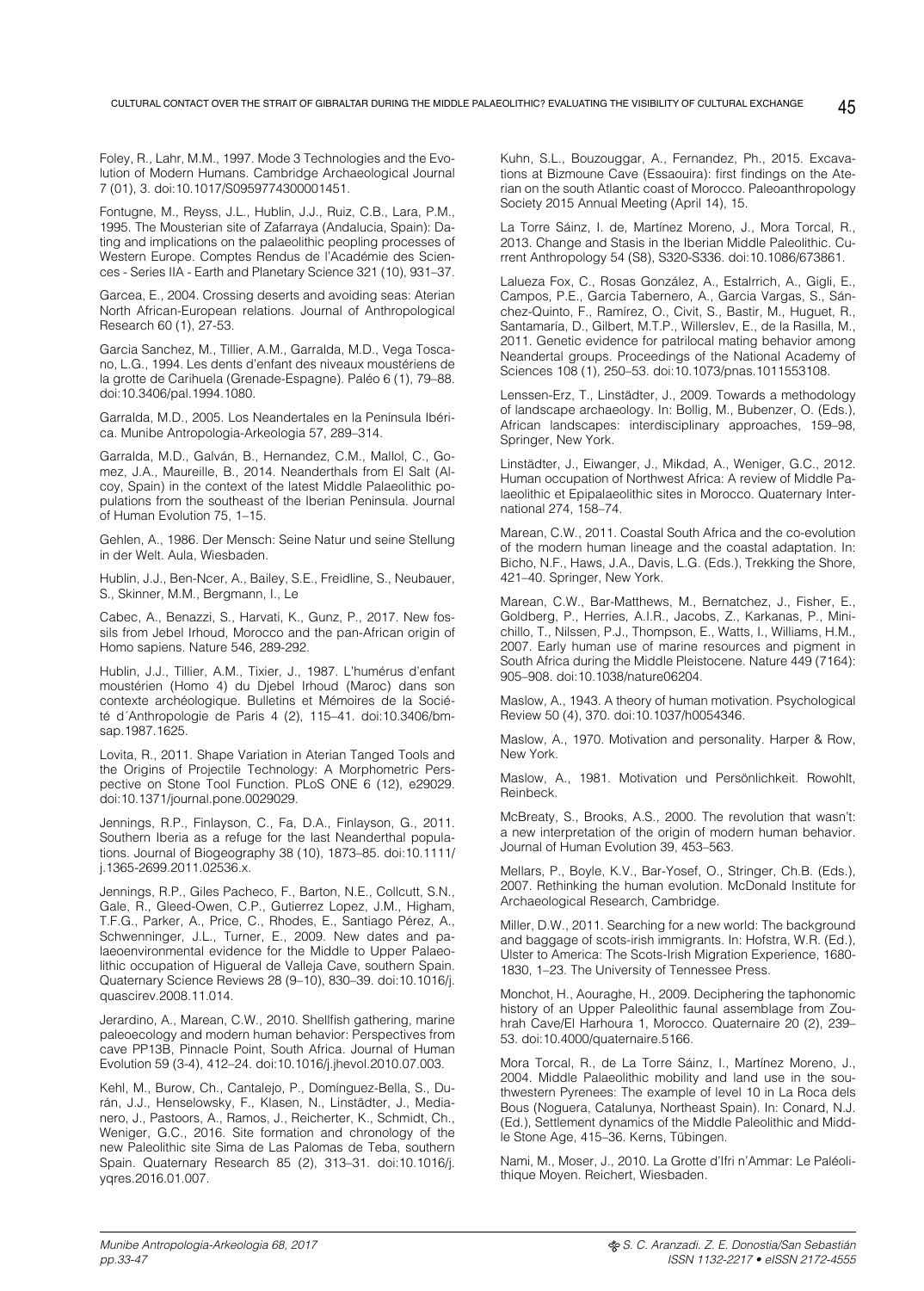Foley, R., Lahr, M.M., 1997. Mode 3 Technologies and the Evolution of Modern Humans. Cambridge Archaeological Journal 7 (01), 3. doi:10.1017/S0959774300001451.

Fontugne, M., Reyss, J.L., Hublin, J.J., Ruiz, C.B., Lara, P.M., 1995. The Mousterian site of Zafarraya (Andalucia, Spain): Dating and implications on the palaeolithic peopling processes of Western Europe. Comptes Rendus de l'Académie des Sciences - Series IIA - Earth and Planetary Science 321 (10), 931–37.

Garcea, E., 2004. Crossing deserts and avoiding seas: Aterian North African-European relations. Journal of Anthropological Research 60 (1), 27-53.

Garcia Sanchez, M., Tillier, A.M., Garralda, M.D., Vega Toscano, L.G., 1994. Les dents d'enfant des niveaux moustériens de la grotte de Carihuela (Grenade-Espagne). Paléo 6 (1), 79–88. doi:10.3406/pal.1994.1080.

Garralda, M.D., 2005. Los Neandertales en la Península Ibérica. Munibe Antropologia-Arkeologia 57, 289–314.

Garralda, M.D., Galván, B., Hernandez, C.M., Mallol, C., Gomez, J.A., Maureille, B., 2014. Neanderthals from El Salt (Alcoy, Spain) in the context of the latest Middle Palaeolithic populations from the southeast of the Iberian Peninsula. Journal of Human Evolution 75, 1–15.

Gehlen, A., 1986. Der Mensch: Seine Natur und seine Stellung in der Welt. Aula, Wiesbaden.

Hublin, J.J., Ben-Ncer, A., Bailey, S.E., Freidline, S., Neubauer, S., Skinner, M.M., Bergmann, I., Le

Cabec, A., Benazzi, S., Harvati, K., Gunz, P., 2017. New fossils from Jebel Irhoud, Morocco and the pan-African origin of Homo sapiens. Nature 546, 289-292.

Hublin, J.J., Tillier, A.M., Tixier, J., 1987. L'humérus d'enfant moustérien (Homo 4) du Djebel Irhoud (Maroc) dans son contexte archéologique. Bulletins et Mémoires de la Société d´Anthropologie de Paris 4 (2), 115–41. doi:10.3406/bmsap.1987.1625.

Lovita, R., 2011. Shape Variation in Aterian Tanged Tools and the Origins of Projectile Technology: A Morphometric Perspective on Stone Tool Function. PLoS ONE 6 (12), e29029. doi:10.1371/journal.pone.0029029.

Jennings, R.P., Finlayson, C., Fa, D.A., Finlayson, G., 2011. Southern Iberia as a refuge for the last Neanderthal populations. Journal of Biogeography 38 (10), 1873–85. doi:10.1111/ j.1365-2699.2011.02536.x.

Jennings, R.P., Giles Pacheco, F., Barton, N.E., Collcutt, S.N., Gale, R., Gleed-Owen, C.P., Gutierrez Lopez, J.M., Higham, T.F.G., Parker, A., Price, C., Rhodes, E., Santiago Pérez, A., Schwenninger, J.L., Turner, E., 2009. New dates and palaeoenvironmental evidence for the Middle to Upper Palaeolithic occupation of Higueral de Valleja Cave, southern Spain. Quaternary Science Reviews 28 (9–10), 830–39. doi:10.1016/j. quascirev.2008.11.014.

Jerardino, A., Marean, C.W., 2010. Shellfish gathering, marine paleoecology and modern human behavior: Perspectives from cave PP13B, Pinnacle Point, South Africa. Journal of Human Evolution 59 (3-4), 412–24. doi:10.1016/j.jhevol.2010.07.003.

Kehl, M., Burow, Ch., Cantalejo, P., Domínguez-Bella, S., Durán, J.J., Henselowsky, F., Klasen, N., Linstädter, J., Medianero, J., Pastoors, A., Ramos, J., Reicherter, K., Schmidt, Ch., Weniger, G.C., 2016. Site formation and chronology of the new Paleolithic site Sima de Las Palomas de Teba, southern Spain. Quaternary Research 85 (2), 313–31. doi:10.1016/j. yqres.2016.01.007.

Kuhn, S.L., Bouzouggar, A., Fernandez, Ph., 2015. Excavations at Bizmoune Cave (Essaouira): first findings on the Aterian on the south Atlantic coast of Morocco. Paleoanthropology Society 2015 Annual Meeting (April 14), 15.

La Torre Sáinz, I. de, Martínez Moreno, J., Mora Torcal, R., 2013. Change and Stasis in the Iberian Middle Paleolithic. Current Anthropology 54 (S8), S320-S336. doi:10.1086/673861.

Lalueza Fox, C., Rosas González, A., Estalrrich, A., Gigli, E., Campos, P.E., Garcia Tabernero, A., Garcia Vargas, S., Sánchez-Quinto, F., Ramírez, O., Civit, S., Bastir, M., Huguet, R., Santamaría, D., Gilbert, M.T.P., Willerslev, E., de la Rasilla, M., 2011. Genetic evidence for patrilocal mating behavior among Neandertal groups. Proceedings of the National Academy of Sciences 108 (1), 250–53. doi:10.1073/pnas.1011553108.

Lenssen-Erz, T., Linstädter, J., 2009. Towards a methodology of landscape archaeology. In: Bollig, M., Bubenzer, O. (Eds.), African landscapes: interdisciplinary approaches, 159–98, Springer, New York.

Linstädter, J., Eiwanger, J., Mikdad, A., Weniger, G.C., 2012. Human occupation of Northwest Africa: A review of Middle Palaeolithic et Epipalaeolithic sites in Morocco. Quaternary International 274, 158–74.

Marean, C.W., 2011. Coastal South Africa and the co-evolution of the modern human lineage and the coastal adaptation. In: Bicho, N.F., Haws, J.A., Davis, L.G. (Eds.), Trekking the Shore, 421–40. Springer, New York.

Marean, C.W., Bar-Matthews, M., Bernatchez, J., Fisher, E., Goldberg, P., Herries, A.I.R., Jacobs, Z., Karkanas, P., Minichillo, T., Nilssen, P.J., Thompson, E., Watts, I., Williams, H.M., 2007. Early human use of marine resources and pigment in South Africa during the Middle Pleistocene. Nature 449 (7164): 905–908. doi:10.1038/nature06204.

Maslow, A., 1943. A theory of human motivation. Psychological Review 50 (4), 370. doi:10.1037/h0054346.

Maslow, A., 1970. Motivation and personality. Harper & Row, New York.

Maslow, A., 1981. Motivation und Persönlichkeit. Rowohlt, Reinbeck.

McBreaty, S., Brooks, A.S., 2000. The revolution that wasn't: a new interpretation of the origin of modern human behavior. Journal of Human Evolution 39, 453–563.

Mellars, P., Boyle, K.V., Bar-Yosef, O., Stringer, Ch.B. (Eds.), 2007. Rethinking the human evolution. McDonald Institute for Archaeological Research, Cambridge.

Miller, D.W., 2011. Searching for a new world: The background and baggage of scots-irish immigrants. In: Hofstra, W.R. (Ed.), Ulster to America: The Scots-Irish Migration Experience, 1680- 1830, 1–23. The University of Tennessee Press.

Monchot, H., Aouraghe, H., 2009. Deciphering the taphonomic history of an Upper Paleolithic faunal assemblage from Zouhrah Cave/El Harhoura 1, Morocco. Quaternaire 20 (2), 239– 53. doi:10.4000/quaternaire.5166.

Mora Torcal, R., de La Torre Sáinz, I., Martínez Moreno, J., 2004. Middle Palaeolithic mobility and land use in the southwestern Pyrenees: The example of level 10 in La Roca dels Bous (Noguera, Catalunya, Northeast Spain). In: Conard, N.J. (Ed.), Settlement dynamics of the Middle Paleolithic and Middle Stone Age, 415–36. Kerns, Tübingen.

Nami, M., Moser, J., 2010. La Grotte d'Ifri n'Ammar: Le Paléolithique Moyen. Reichert, Wiesbaden.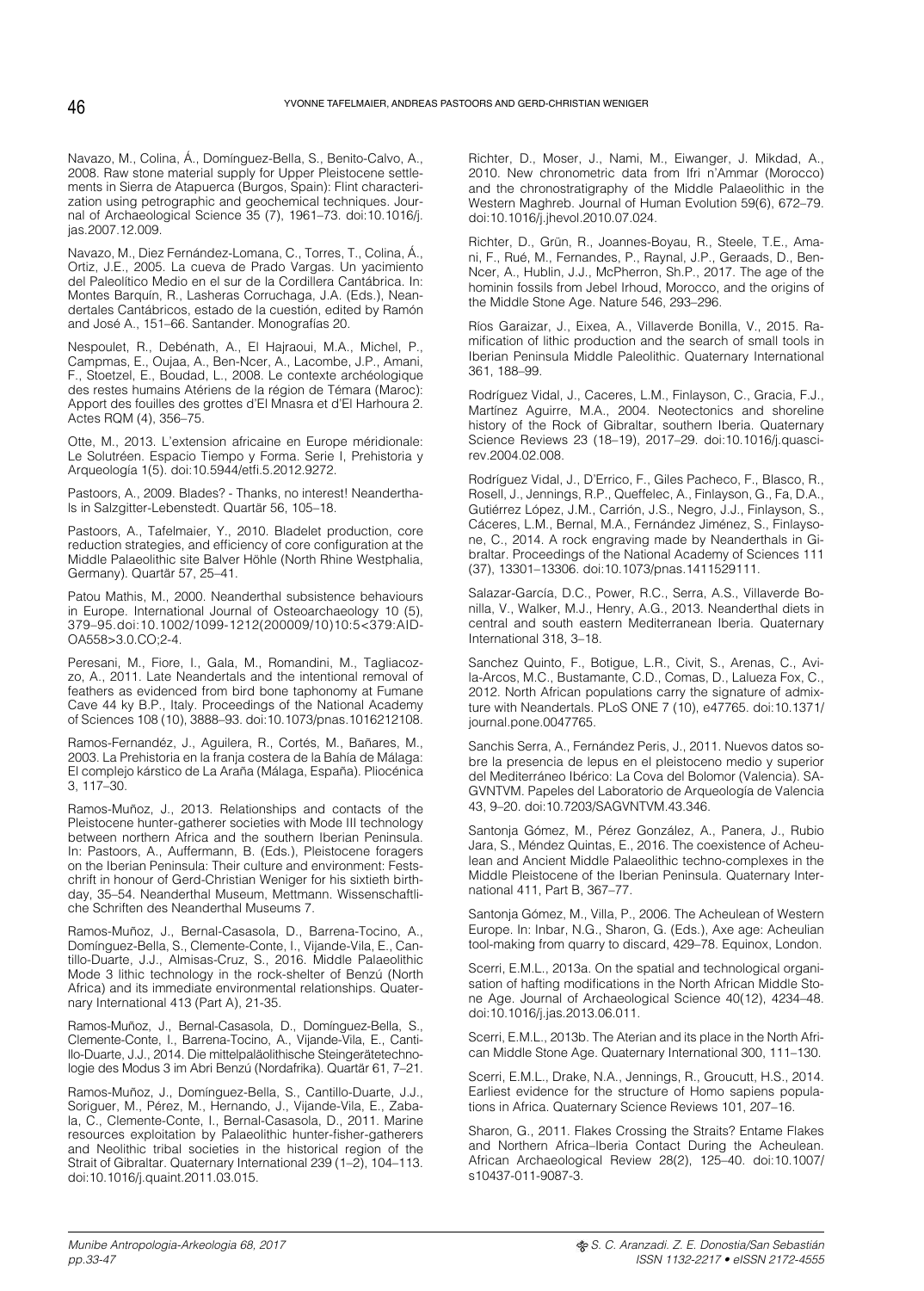Navazo, M., Colina, Á., Domínguez-Bella, S., Benito-Calvo, A., 2008. Raw stone material supply for Upper Pleistocene settlements in Sierra de Atapuerca (Burgos, Spain): Flint characterization using petrographic and geochemical techniques. Journal of Archaeological Science 35 (7), 1961–73. doi:10.1016/j. jas.2007.12.009.

Navazo, M., Diez Fernández-Lomana, C., Torres, T., Colina, Á., Ortiz, J.E., 2005. La cueva de Prado Vargas. Un yacimiento del Paleolítico Medio en el sur de la Cordillera Cantábrica. In: Montes Barquín, R., Lasheras Corruchaga, J.A. (Eds.), Neandertales Cantábricos, estado de la cuestión, edited by Ramón and José A., 151–66. Santander. Monografías 20.

Nespoulet, R., Debénath, A., El Hajraoui, M.A., Michel, P., Campmas, E., Oujaa, A., Ben-Ncer, A., Lacombe, J.P., Amani, F., Stoetzel, E., Boudad, L., 2008. Le contexte archéologique des restes humains Atériens de la région de Témara (Maroc): Apport des fouilles des grottes d'El Mnasra et d'El Harhoura 2. Actes RQM (4), 356–75.

Otte, M., 2013. L'extension africaine en Europe méridionale: Le Solutréen. Espacio Tiempo y Forma. Serie I, Prehistoria y Arqueología 1(5). doi:10.5944/etfi.5.2012.9272.

Pastoors, A., 2009. Blades? - Thanks, no interest! Neanderthals in Salzgitter-Lebenstedt. Quartär 56, 105–18.

Pastoors, A., Tafelmaier, Y., 2010. Bladelet production, core reduction strategies, and efficiency of core configuration at the Middle Palaeolithic site Balver Höhle (North Rhine Westphalia, Germany). Quartär 57, 25–41.

Patou Mathis, M., 2000. Neanderthal subsistence behaviours in Europe. International Journal of Osteoarchaeology 10 (5), 379–95.doi:10.1002/1099-1212(200009/10)10:5<379:AID-OA558>3.0.CO;2-4.

Peresani, M., Fiore, I., Gala, M., Romandini, M., Tagliacozzo, A., 2011. Late Neandertals and the intentional removal of feathers as evidenced from bird bone taphonomy at Fumane Cave 44 ky B.P., Italy. Proceedings of the National Academy of Sciences 108 (10), 3888–93. doi:10.1073/pnas.1016212108.

Ramos-Fernandéz, J., Aguilera, R., Cortés, M., Bañares, M., 2003. La Prehistoria en la franja costera de la Bahía de Málaga: El complejo kárstico de La Araña (Málaga, España). Pliocénica 3, 117–30.

Ramos-Muñoz, J., 2013. Relationships and contacts of the Pleistocene hunter-gatherer societies with Mode III technology between northern Africa and the southern Iberian Peninsula. In: Pastoors, A., Auffermann, B. (Eds.), Pleistocene foragers on the Iberian Peninsula: Their culture and environment: Festschrift in honour of Gerd-Christian Weniger for his sixtieth birthday, 35–54. Neanderthal Museum, Mettmann. Wissenschaftliche Schriften des Neanderthal Museums 7.

Ramos-Muñoz, J., Bernal-Casasola, D., Barrena-Tocino, A., Domínguez-Bella, S., Clemente-Conte, I., Vijande-Vila, E., Cantillo-Duarte, J.J., Almisas-Cruz, S., 2016. Middle Palaeolithic Mode 3 lithic technology in the rock-shelter of Benzú (North Africa) and its immediate environmental relationships. Quaternary International 413 (Part A), 21-35.

Ramos-Muñoz, J., Bernal-Casasola, D., Domínguez-Bella, S., Clemente-Conte, I., Barrena-Tocino, A., Vijande-Vila, E., Cantillo-Duarte, J.J., 2014. Die mittelpaläolithische Steingerätetechnologie des Modus 3 im Abri Benzú (Nordafrika). Quartär 61, 7–21.

Ramos-Muñoz, J., Domínguez-Bella, S., Cantillo-Duarte, J.J., Soriguer, M., Pérez, M., Hernando, J., Vijande-Vila, E., Zabala, C., Clemente-Conte, I., Bernal-Casasola, D., 2011. Marine resources exploitation by Palaeolithic hunter-fisher-gatherers and Neolithic tribal societies in the historical region of the Strait of Gibraltar. Quaternary International 239 (1–2), 104–113. doi:10.1016/j.quaint.2011.03.015.

Richter, D., Moser, J., Nami, M., Eiwanger, J. Mikdad, A., 2010. New chronometric data from Ifri n'Ammar (Morocco) and the chronostratigraphy of the Middle Palaeolithic in the Western Maghreb. Journal of Human Evolution 59(6), 672–79. doi:10.1016/j.jhevol.2010.07.024.

Richter, D., Grün, R., Joannes-Boyau, R., Steele, T.E., Amani, F., Rué, M., Fernandes, P., Raynal, J.P., Geraads, D., Ben-Ncer, A., Hublin, J.J., McPherron, Sh.P., 2017. The age of the hominin fossils from Jebel Irhoud, Morocco, and the origins of the Middle Stone Age. Nature 546, 293–296.

Ríos Garaizar, J., Eixea, A., Villaverde Bonilla, V., 2015. Ramification of lithic production and the search of small tools in Iberian Peninsula Middle Paleolithic. Quaternary International 361, 188–99.

Rodríguez Vidal, J., Caceres, L.M., Finlayson, C., Gracia, F.J., Martínez Aguirre, M.A., 2004. Neotectonics and shoreline history of the Rock of Gibraltar, southern Iberia. Quaternary Science Reviews 23 (18–19), 2017–29. doi:10.1016/j.quascirev.2004.02.008.

Rodríguez Vidal, J., D'Errico, F., Giles Pacheco, F., Blasco, R., Rosell, J., Jennings, R.P., Queffelec, A., Finlayson, G., Fa, D.A., Gutiérrez López, J.M., Carrión, J.S., Negro, J.J., Finlayson, S., Cáceres, L.M., Bernal, M.A., Fernández Jiménez, S., Finlaysone, C., 2014. A rock engraving made by Neanderthals in Gibraltar. Proceedings of the National Academy of Sciences 111 (37), 13301–13306. doi:10.1073/pnas.1411529111.

Salazar-García, D.C., Power, R.C., Serra, A.S., Villaverde Bonilla, V., Walker, M.J., Henry, A.G., 2013. Neanderthal diets in central and south eastern Mediterranean Iberia. Quaternary International 318, 3–18.

Sanchez Quinto, F., Botigue, L.R., Civit, S., Arenas, C., Avila-Arcos, M.C., Bustamante, C.D., Comas, D., Lalueza Fox, C., 2012. North African populations carry the signature of admixture with Neandertals. PLoS ONE 7 (10), e47765. doi:10.1371/ journal.pone.0047765.

Sanchis Serra, A., Fernández Peris, J., 2011. Nuevos datos sobre la presencia de lepus en el pleistoceno medio y superior del Mediterráneo Ibérico: La Cova del Bolomor (Valencia). SA-GVNTVM. Papeles del Laboratorio de Arqueología de Valencia 43, 9–20. doi:10.7203/SAGVNTVM.43.346.

Santonja Gómez, M., Pérez González, A., Panera, J., Rubio Jara, S., Méndez Quintas, E., 2016. The coexistence of Acheulean and Ancient Middle Palaeolithic techno-complexes in the Middle Pleistocene of the Iberian Peninsula. Quaternary International 411, Part B, 367–77.

Santonja Gómez, M., Villa, P., 2006. The Acheulean of Western Europe. In: Inbar, N.G., Sharon, G. (Eds.), Axe age: Acheulian tool-making from quarry to discard, 429–78. Equinox, London.

Scerri, E.M.L., 2013a. On the spatial and technological organisation of hafting modifications in the North African Middle Stone Age. Journal of Archaeological Science 40(12), 4234–48. doi:10.1016/j.jas.2013.06.011.

Scerri, E.M.L., 2013b. The Aterian and its place in the North African Middle Stone Age. Quaternary International 300, 111–130.

Scerri, E.M.L., Drake, N.A., Jennings, R., Groucutt, H.S., 2014. Earliest evidence for the structure of Homo sapiens populations in Africa. Quaternary Science Reviews 101, 207–16.

Sharon, G., 2011. Flakes Crossing the Straits? Entame Flakes and Northern Africa–Iberia Contact During the Acheulean. African Archaeological Review 28(2), 125–40. doi:10.1007/ s10437-011-9087-3.